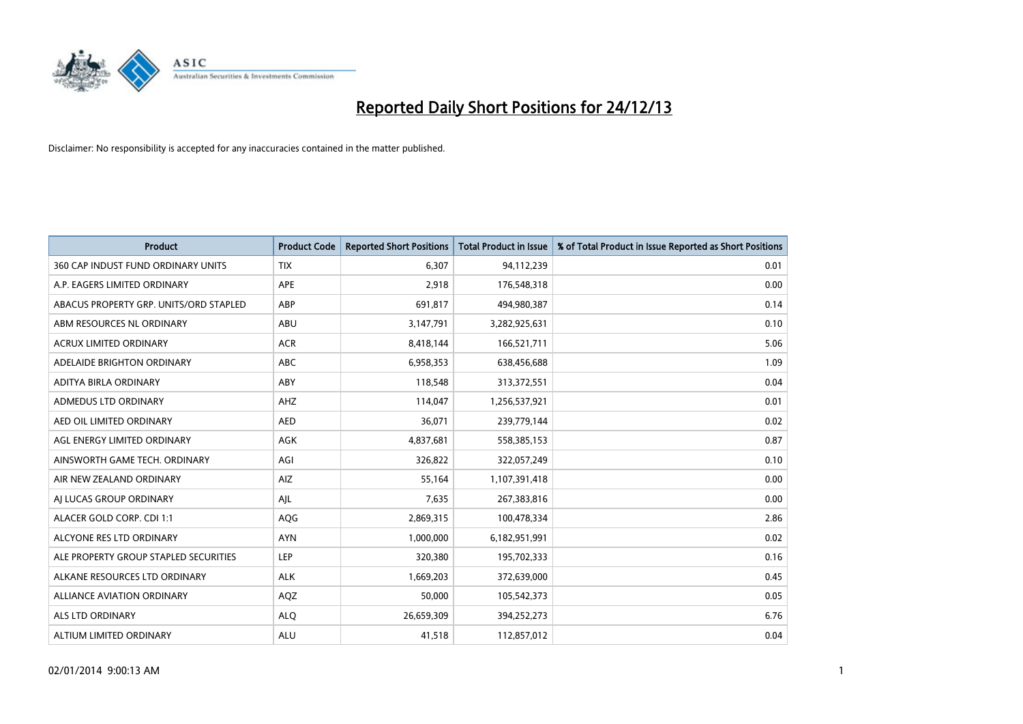

| <b>Product</b>                         | <b>Product Code</b> | <b>Reported Short Positions</b> | <b>Total Product in Issue</b> | % of Total Product in Issue Reported as Short Positions |
|----------------------------------------|---------------------|---------------------------------|-------------------------------|---------------------------------------------------------|
| 360 CAP INDUST FUND ORDINARY UNITS     | <b>TIX</b>          | 6,307                           | 94,112,239                    | 0.01                                                    |
| A.P. EAGERS LIMITED ORDINARY           | APE                 | 2,918                           | 176,548,318                   | 0.00                                                    |
| ABACUS PROPERTY GRP. UNITS/ORD STAPLED | ABP                 | 691,817                         | 494,980,387                   | 0.14                                                    |
| ABM RESOURCES NL ORDINARY              | ABU                 | 3,147,791                       | 3,282,925,631                 | 0.10                                                    |
| <b>ACRUX LIMITED ORDINARY</b>          | <b>ACR</b>          | 8,418,144                       | 166,521,711                   | 5.06                                                    |
| ADELAIDE BRIGHTON ORDINARY             | <b>ABC</b>          | 6,958,353                       | 638,456,688                   | 1.09                                                    |
| ADITYA BIRLA ORDINARY                  | ABY                 | 118,548                         | 313,372,551                   | 0.04                                                    |
| ADMEDUS LTD ORDINARY                   | AHZ                 | 114,047                         | 1,256,537,921                 | 0.01                                                    |
| AED OIL LIMITED ORDINARY               | <b>AED</b>          | 36,071                          | 239,779,144                   | 0.02                                                    |
| AGL ENERGY LIMITED ORDINARY            | <b>AGK</b>          | 4,837,681                       | 558,385,153                   | 0.87                                                    |
| AINSWORTH GAME TECH. ORDINARY          | AGI                 | 326,822                         | 322,057,249                   | 0.10                                                    |
| AIR NEW ZEALAND ORDINARY               | AIZ                 | 55,164                          | 1,107,391,418                 | 0.00                                                    |
| AI LUCAS GROUP ORDINARY                | AJL                 | 7,635                           | 267,383,816                   | 0.00                                                    |
| ALACER GOLD CORP. CDI 1:1              | AQG                 | 2,869,315                       | 100,478,334                   | 2.86                                                    |
| ALCYONE RES LTD ORDINARY               | <b>AYN</b>          | 1,000,000                       | 6,182,951,991                 | 0.02                                                    |
| ALE PROPERTY GROUP STAPLED SECURITIES  | LEP                 | 320,380                         | 195,702,333                   | 0.16                                                    |
| ALKANE RESOURCES LTD ORDINARY          | <b>ALK</b>          | 1,669,203                       | 372,639,000                   | 0.45                                                    |
| <b>ALLIANCE AVIATION ORDINARY</b>      | AQZ                 | 50,000                          | 105,542,373                   | 0.05                                                    |
| ALS LTD ORDINARY                       | <b>ALO</b>          | 26,659,309                      | 394,252,273                   | 6.76                                                    |
| ALTIUM LIMITED ORDINARY                | <b>ALU</b>          | 41,518                          | 112,857,012                   | 0.04                                                    |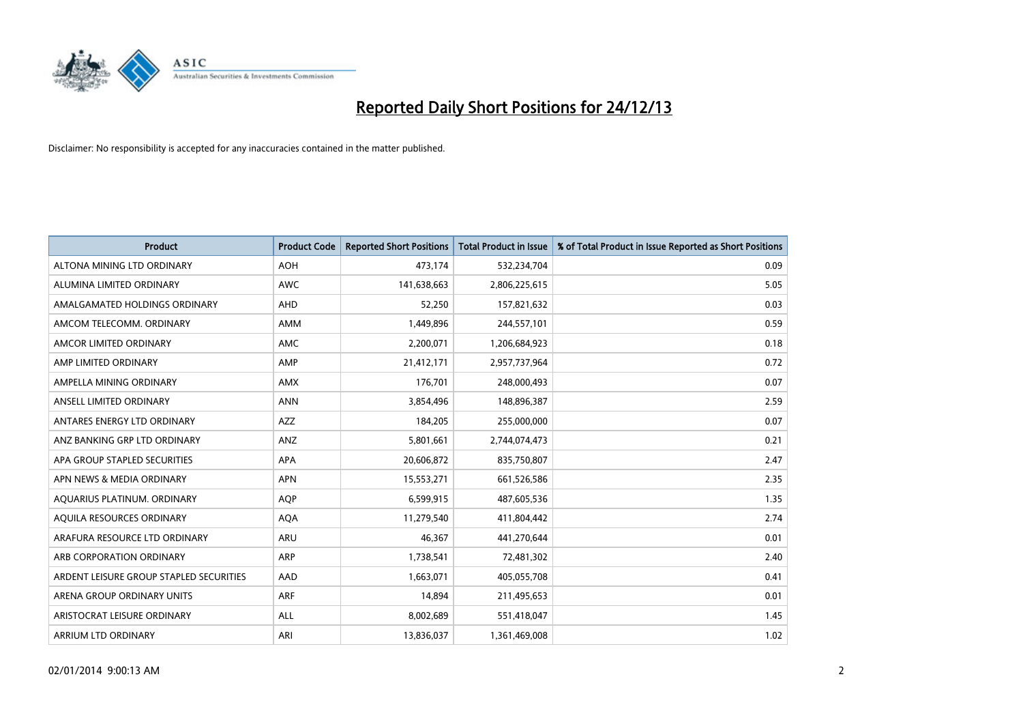

| <b>Product</b>                          | <b>Product Code</b> | <b>Reported Short Positions</b> | <b>Total Product in Issue</b> | % of Total Product in Issue Reported as Short Positions |
|-----------------------------------------|---------------------|---------------------------------|-------------------------------|---------------------------------------------------------|
| ALTONA MINING LTD ORDINARY              | <b>AOH</b>          | 473,174                         | 532,234,704                   | 0.09                                                    |
| ALUMINA LIMITED ORDINARY                | AWC                 | 141,638,663                     | 2,806,225,615                 | 5.05                                                    |
| AMALGAMATED HOLDINGS ORDINARY           | AHD                 | 52,250                          | 157,821,632                   | 0.03                                                    |
| AMCOM TELECOMM. ORDINARY                | AMM                 | 1,449,896                       | 244,557,101                   | 0.59                                                    |
| AMCOR LIMITED ORDINARY                  | AMC                 | 2,200,071                       | 1,206,684,923                 | 0.18                                                    |
| AMP LIMITED ORDINARY                    | AMP                 | 21,412,171                      | 2,957,737,964                 | 0.72                                                    |
| AMPELLA MINING ORDINARY                 | AMX                 | 176,701                         | 248,000,493                   | 0.07                                                    |
| ANSELL LIMITED ORDINARY                 | <b>ANN</b>          | 3,854,496                       | 148,896,387                   | 2.59                                                    |
| ANTARES ENERGY LTD ORDINARY             | <b>AZZ</b>          | 184,205                         | 255,000,000                   | 0.07                                                    |
| ANZ BANKING GRP LTD ORDINARY            | ANZ                 | 5,801,661                       | 2,744,074,473                 | 0.21                                                    |
| APA GROUP STAPLED SECURITIES            | APA                 | 20,606,872                      | 835,750,807                   | 2.47                                                    |
| APN NEWS & MEDIA ORDINARY               | <b>APN</b>          | 15,553,271                      | 661,526,586                   | 2.35                                                    |
| AQUARIUS PLATINUM. ORDINARY             | <b>AOP</b>          | 6,599,915                       | 487,605,536                   | 1.35                                                    |
| AQUILA RESOURCES ORDINARY               | <b>AQA</b>          | 11,279,540                      | 411,804,442                   | 2.74                                                    |
| ARAFURA RESOURCE LTD ORDINARY           | <b>ARU</b>          | 46,367                          | 441,270,644                   | 0.01                                                    |
| ARB CORPORATION ORDINARY                | ARP                 | 1,738,541                       | 72,481,302                    | 2.40                                                    |
| ARDENT LEISURE GROUP STAPLED SECURITIES | AAD                 | 1,663,071                       | 405,055,708                   | 0.41                                                    |
| ARENA GROUP ORDINARY UNITS              | <b>ARF</b>          | 14,894                          | 211,495,653                   | 0.01                                                    |
| ARISTOCRAT LEISURE ORDINARY             | ALL                 | 8,002,689                       | 551,418,047                   | 1.45                                                    |
| ARRIUM LTD ORDINARY                     | ARI                 | 13,836,037                      | 1,361,469,008                 | 1.02                                                    |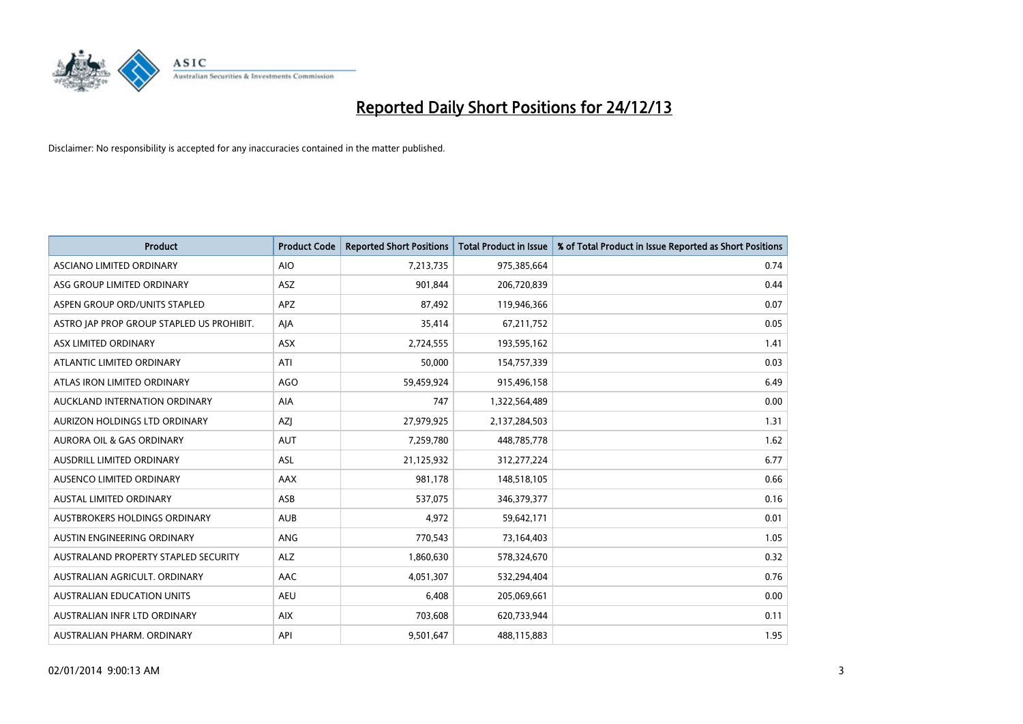

| <b>Product</b>                            | <b>Product Code</b> | <b>Reported Short Positions</b> | <b>Total Product in Issue</b> | % of Total Product in Issue Reported as Short Positions |
|-------------------------------------------|---------------------|---------------------------------|-------------------------------|---------------------------------------------------------|
| ASCIANO LIMITED ORDINARY                  | <b>AIO</b>          | 7,213,735                       | 975,385,664                   | 0.74                                                    |
| ASG GROUP LIMITED ORDINARY                | ASZ                 | 901,844                         | 206,720,839                   | 0.44                                                    |
| ASPEN GROUP ORD/UNITS STAPLED             | <b>APZ</b>          | 87,492                          | 119,946,366                   | 0.07                                                    |
| ASTRO JAP PROP GROUP STAPLED US PROHIBIT. | AJA                 | 35,414                          | 67,211,752                    | 0.05                                                    |
| ASX LIMITED ORDINARY                      | ASX                 | 2,724,555                       | 193,595,162                   | 1.41                                                    |
| ATLANTIC LIMITED ORDINARY                 | ATI                 | 50,000                          | 154,757,339                   | 0.03                                                    |
| ATLAS IRON LIMITED ORDINARY               | <b>AGO</b>          | 59,459,924                      | 915,496,158                   | 6.49                                                    |
| AUCKLAND INTERNATION ORDINARY             | AIA                 | 747                             | 1,322,564,489                 | 0.00                                                    |
| AURIZON HOLDINGS LTD ORDINARY             | AZJ                 | 27,979,925                      | 2,137,284,503                 | 1.31                                                    |
| <b>AURORA OIL &amp; GAS ORDINARY</b>      | <b>AUT</b>          | 7,259,780                       | 448,785,778                   | 1.62                                                    |
| AUSDRILL LIMITED ORDINARY                 | ASL                 | 21,125,932                      | 312,277,224                   | 6.77                                                    |
| AUSENCO LIMITED ORDINARY                  | AAX                 | 981,178                         | 148,518,105                   | 0.66                                                    |
| AUSTAL LIMITED ORDINARY                   | ASB                 | 537,075                         | 346, 379, 377                 | 0.16                                                    |
| AUSTBROKERS HOLDINGS ORDINARY             | <b>AUB</b>          | 4,972                           | 59,642,171                    | 0.01                                                    |
| AUSTIN ENGINEERING ORDINARY               | ANG                 | 770,543                         | 73,164,403                    | 1.05                                                    |
| AUSTRALAND PROPERTY STAPLED SECURITY      | <b>ALZ</b>          | 1,860,630                       | 578,324,670                   | 0.32                                                    |
| AUSTRALIAN AGRICULT. ORDINARY             | AAC                 | 4,051,307                       | 532,294,404                   | 0.76                                                    |
| AUSTRALIAN EDUCATION UNITS                | <b>AEU</b>          | 6,408                           | 205,069,661                   | 0.00                                                    |
| AUSTRALIAN INFR LTD ORDINARY              | <b>AIX</b>          | 703,608                         | 620,733,944                   | 0.11                                                    |
| AUSTRALIAN PHARM. ORDINARY                | API                 | 9,501,647                       | 488,115,883                   | 1.95                                                    |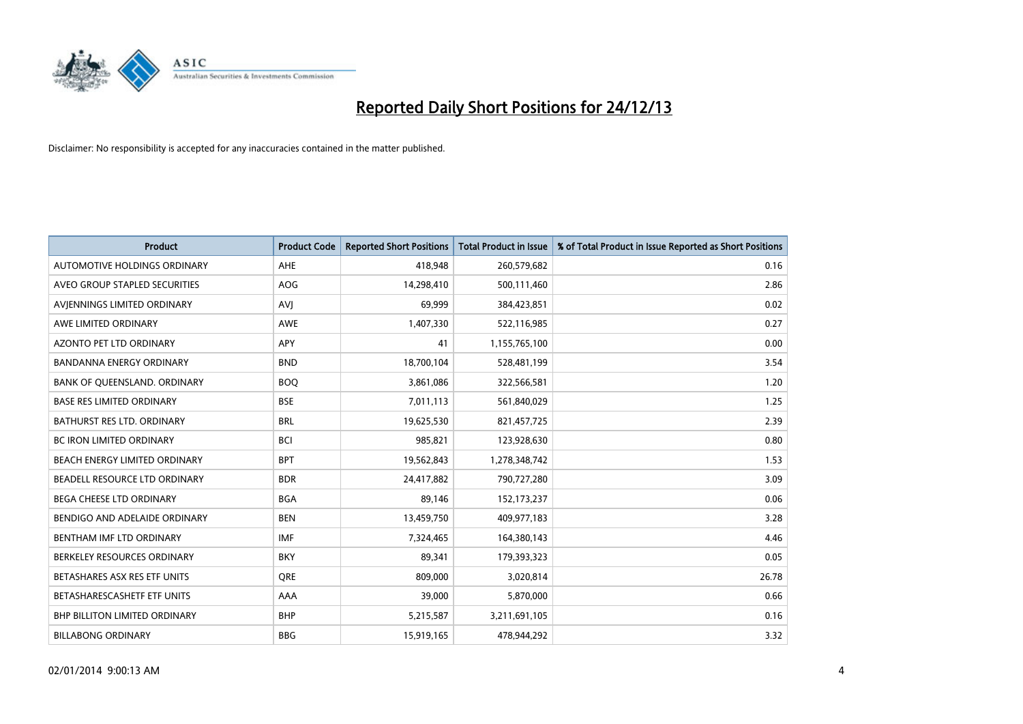

| <b>Product</b>                       | <b>Product Code</b> | <b>Reported Short Positions</b> | <b>Total Product in Issue</b> | % of Total Product in Issue Reported as Short Positions |
|--------------------------------------|---------------------|---------------------------------|-------------------------------|---------------------------------------------------------|
| AUTOMOTIVE HOLDINGS ORDINARY         | AHE                 | 418,948                         | 260,579,682                   | 0.16                                                    |
| AVEO GROUP STAPLED SECURITIES        | AOG                 | 14,298,410                      | 500,111,460                   | 2.86                                                    |
| AVIENNINGS LIMITED ORDINARY          | <b>AVI</b>          | 69,999                          | 384,423,851                   | 0.02                                                    |
| AWE LIMITED ORDINARY                 | <b>AWE</b>          | 1,407,330                       | 522,116,985                   | 0.27                                                    |
| <b>AZONTO PET LTD ORDINARY</b>       | APY                 | 41                              | 1,155,765,100                 | 0.00                                                    |
| <b>BANDANNA ENERGY ORDINARY</b>      | <b>BND</b>          | 18,700,104                      | 528,481,199                   | 3.54                                                    |
| BANK OF QUEENSLAND. ORDINARY         | <b>BOO</b>          | 3,861,086                       | 322,566,581                   | 1.20                                                    |
| <b>BASE RES LIMITED ORDINARY</b>     | <b>BSE</b>          | 7,011,113                       | 561,840,029                   | 1.25                                                    |
| <b>BATHURST RES LTD. ORDINARY</b>    | <b>BRL</b>          | 19,625,530                      | 821,457,725                   | 2.39                                                    |
| <b>BC IRON LIMITED ORDINARY</b>      | <b>BCI</b>          | 985,821                         | 123,928,630                   | 0.80                                                    |
| BEACH ENERGY LIMITED ORDINARY        | <b>BPT</b>          | 19,562,843                      | 1,278,348,742                 | 1.53                                                    |
| BEADELL RESOURCE LTD ORDINARY        | <b>BDR</b>          | 24,417,882                      | 790,727,280                   | 3.09                                                    |
| <b>BEGA CHEESE LTD ORDINARY</b>      | <b>BGA</b>          | 89,146                          | 152,173,237                   | 0.06                                                    |
| BENDIGO AND ADELAIDE ORDINARY        | <b>BEN</b>          | 13,459,750                      | 409,977,183                   | 3.28                                                    |
| BENTHAM IMF LTD ORDINARY             | <b>IMF</b>          | 7,324,465                       | 164,380,143                   | 4.46                                                    |
| BERKELEY RESOURCES ORDINARY          | <b>BKY</b>          | 89,341                          | 179,393,323                   | 0.05                                                    |
| BETASHARES ASX RES ETF UNITS         | <b>ORE</b>          | 809,000                         | 3,020,814                     | 26.78                                                   |
| BETASHARESCASHETF ETF UNITS          | AAA                 | 39,000                          | 5,870,000                     | 0.66                                                    |
| <b>BHP BILLITON LIMITED ORDINARY</b> | <b>BHP</b>          | 5,215,587                       | 3,211,691,105                 | 0.16                                                    |
| <b>BILLABONG ORDINARY</b>            | <b>BBG</b>          | 15,919,165                      | 478,944,292                   | 3.32                                                    |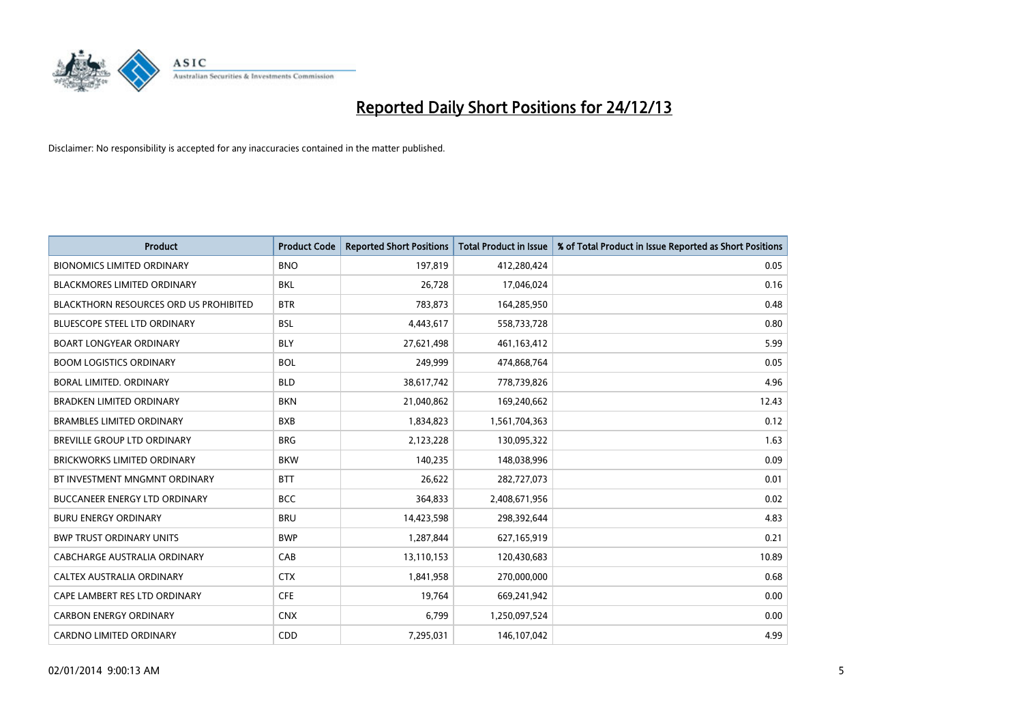

| <b>Product</b>                                | <b>Product Code</b> | <b>Reported Short Positions</b> | <b>Total Product in Issue</b> | % of Total Product in Issue Reported as Short Positions |
|-----------------------------------------------|---------------------|---------------------------------|-------------------------------|---------------------------------------------------------|
| <b>BIONOMICS LIMITED ORDINARY</b>             | <b>BNO</b>          | 197,819                         | 412,280,424                   | 0.05                                                    |
| BLACKMORES LIMITED ORDINARY                   | BKL                 | 26,728                          | 17,046,024                    | 0.16                                                    |
| <b>BLACKTHORN RESOURCES ORD US PROHIBITED</b> | <b>BTR</b>          | 783,873                         | 164,285,950                   | 0.48                                                    |
| <b>BLUESCOPE STEEL LTD ORDINARY</b>           | <b>BSL</b>          | 4,443,617                       | 558,733,728                   | 0.80                                                    |
| <b>BOART LONGYEAR ORDINARY</b>                | <b>BLY</b>          | 27,621,498                      | 461,163,412                   | 5.99                                                    |
| <b>BOOM LOGISTICS ORDINARY</b>                | <b>BOL</b>          | 249,999                         | 474,868,764                   | 0.05                                                    |
| <b>BORAL LIMITED, ORDINARY</b>                | <b>BLD</b>          | 38,617,742                      | 778,739,826                   | 4.96                                                    |
| <b>BRADKEN LIMITED ORDINARY</b>               | <b>BKN</b>          | 21,040,862                      | 169,240,662                   | 12.43                                                   |
| <b>BRAMBLES LIMITED ORDINARY</b>              | <b>BXB</b>          | 1,834,823                       | 1,561,704,363                 | 0.12                                                    |
| <b>BREVILLE GROUP LTD ORDINARY</b>            | <b>BRG</b>          | 2,123,228                       | 130,095,322                   | 1.63                                                    |
| BRICKWORKS LIMITED ORDINARY                   | <b>BKW</b>          | 140,235                         | 148,038,996                   | 0.09                                                    |
| BT INVESTMENT MNGMNT ORDINARY                 | <b>BTT</b>          | 26,622                          | 282,727,073                   | 0.01                                                    |
| BUCCANEER ENERGY LTD ORDINARY                 | <b>BCC</b>          | 364,833                         | 2,408,671,956                 | 0.02                                                    |
| <b>BURU ENERGY ORDINARY</b>                   | <b>BRU</b>          | 14,423,598                      | 298,392,644                   | 4.83                                                    |
| <b>BWP TRUST ORDINARY UNITS</b>               | <b>BWP</b>          | 1,287,844                       | 627,165,919                   | 0.21                                                    |
| CABCHARGE AUSTRALIA ORDINARY                  | CAB                 | 13,110,153                      | 120,430,683                   | 10.89                                                   |
| CALTEX AUSTRALIA ORDINARY                     | <b>CTX</b>          | 1,841,958                       | 270,000,000                   | 0.68                                                    |
| CAPE LAMBERT RES LTD ORDINARY                 | <b>CFE</b>          | 19,764                          | 669,241,942                   | 0.00                                                    |
| <b>CARBON ENERGY ORDINARY</b>                 | <b>CNX</b>          | 6,799                           | 1,250,097,524                 | 0.00                                                    |
| <b>CARDNO LIMITED ORDINARY</b>                | CDD                 | 7,295,031                       | 146, 107, 042                 | 4.99                                                    |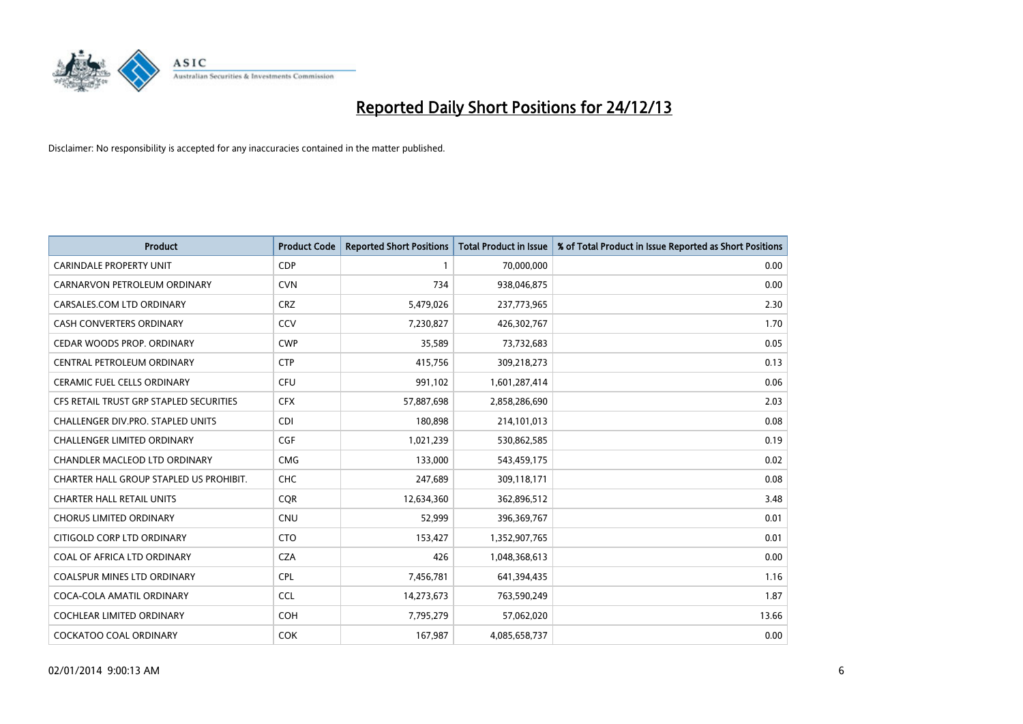

| <b>Product</b>                          | <b>Product Code</b> | <b>Reported Short Positions</b> | <b>Total Product in Issue</b> | % of Total Product in Issue Reported as Short Positions |
|-----------------------------------------|---------------------|---------------------------------|-------------------------------|---------------------------------------------------------|
| <b>CARINDALE PROPERTY UNIT</b>          | <b>CDP</b>          | $\mathbf{1}$                    | 70,000,000                    | 0.00                                                    |
| CARNARVON PETROLEUM ORDINARY            | <b>CVN</b>          | 734                             | 938,046,875                   | 0.00                                                    |
| CARSALES.COM LTD ORDINARY               | <b>CRZ</b>          | 5,479,026                       | 237,773,965                   | 2.30                                                    |
| <b>CASH CONVERTERS ORDINARY</b>         | CCV                 | 7,230,827                       | 426,302,767                   | 1.70                                                    |
| CEDAR WOODS PROP. ORDINARY              | <b>CWP</b>          | 35,589                          | 73,732,683                    | 0.05                                                    |
| CENTRAL PETROLEUM ORDINARY              | <b>CTP</b>          | 415,756                         | 309,218,273                   | 0.13                                                    |
| <b>CERAMIC FUEL CELLS ORDINARY</b>      | <b>CFU</b>          | 991,102                         | 1,601,287,414                 | 0.06                                                    |
| CFS RETAIL TRUST GRP STAPLED SECURITIES | <b>CFX</b>          | 57,887,698                      | 2,858,286,690                 | 2.03                                                    |
| CHALLENGER DIV.PRO. STAPLED UNITS       | <b>CDI</b>          | 180,898                         | 214,101,013                   | 0.08                                                    |
| <b>CHALLENGER LIMITED ORDINARY</b>      | <b>CGF</b>          | 1,021,239                       | 530,862,585                   | 0.19                                                    |
| CHANDLER MACLEOD LTD ORDINARY           | <b>CMG</b>          | 133,000                         | 543,459,175                   | 0.02                                                    |
| CHARTER HALL GROUP STAPLED US PROHIBIT. | <b>CHC</b>          | 247,689                         | 309,118,171                   | 0.08                                                    |
| <b>CHARTER HALL RETAIL UNITS</b>        | <b>CQR</b>          | 12,634,360                      | 362,896,512                   | 3.48                                                    |
| <b>CHORUS LIMITED ORDINARY</b>          | <b>CNU</b>          | 52,999                          | 396,369,767                   | 0.01                                                    |
| CITIGOLD CORP LTD ORDINARY              | <b>CTO</b>          | 153,427                         | 1,352,907,765                 | 0.01                                                    |
| COAL OF AFRICA LTD ORDINARY             | <b>CZA</b>          | 426                             | 1,048,368,613                 | 0.00                                                    |
| <b>COALSPUR MINES LTD ORDINARY</b>      | <b>CPL</b>          | 7,456,781                       | 641,394,435                   | 1.16                                                    |
| COCA-COLA AMATIL ORDINARY               | <b>CCL</b>          | 14,273,673                      | 763,590,249                   | 1.87                                                    |
| <b>COCHLEAR LIMITED ORDINARY</b>        | <b>COH</b>          | 7,795,279                       | 57,062,020                    | 13.66                                                   |
| <b>COCKATOO COAL ORDINARY</b>           | <b>COK</b>          | 167,987                         | 4,085,658,737                 | 0.00                                                    |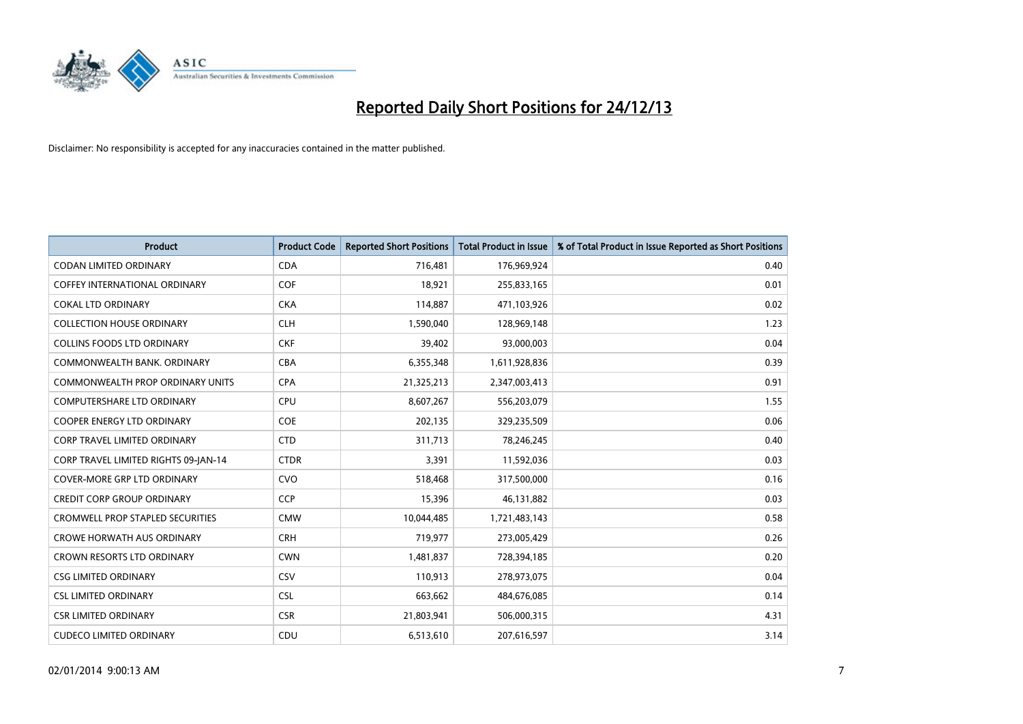

| Product                                 | <b>Product Code</b> | <b>Reported Short Positions</b> | <b>Total Product in Issue</b> | % of Total Product in Issue Reported as Short Positions |
|-----------------------------------------|---------------------|---------------------------------|-------------------------------|---------------------------------------------------------|
| <b>CODAN LIMITED ORDINARY</b>           | <b>CDA</b>          | 716,481                         | 176,969,924                   | 0.40                                                    |
| COFFEY INTERNATIONAL ORDINARY           | <b>COF</b>          | 18,921                          | 255,833,165                   | 0.01                                                    |
| <b>COKAL LTD ORDINARY</b>               | <b>CKA</b>          | 114,887                         | 471,103,926                   | 0.02                                                    |
| <b>COLLECTION HOUSE ORDINARY</b>        | <b>CLH</b>          | 1,590,040                       | 128,969,148                   | 1.23                                                    |
| <b>COLLINS FOODS LTD ORDINARY</b>       | <b>CKF</b>          | 39,402                          | 93,000,003                    | 0.04                                                    |
| COMMONWEALTH BANK, ORDINARY             | <b>CBA</b>          | 6,355,348                       | 1,611,928,836                 | 0.39                                                    |
| <b>COMMONWEALTH PROP ORDINARY UNITS</b> | <b>CPA</b>          | 21,325,213                      | 2,347,003,413                 | 0.91                                                    |
| <b>COMPUTERSHARE LTD ORDINARY</b>       | <b>CPU</b>          | 8,607,267                       | 556,203,079                   | 1.55                                                    |
| <b>COOPER ENERGY LTD ORDINARY</b>       | <b>COE</b>          | 202,135                         | 329,235,509                   | 0.06                                                    |
| CORP TRAVEL LIMITED ORDINARY            | <b>CTD</b>          | 311,713                         | 78,246,245                    | 0.40                                                    |
| CORP TRAVEL LIMITED RIGHTS 09-JAN-14    | <b>CTDR</b>         | 3,391                           | 11,592,036                    | 0.03                                                    |
| <b>COVER-MORE GRP LTD ORDINARY</b>      | <b>CVO</b>          | 518,468                         | 317,500,000                   | 0.16                                                    |
| <b>CREDIT CORP GROUP ORDINARY</b>       | <b>CCP</b>          | 15,396                          | 46,131,882                    | 0.03                                                    |
| <b>CROMWELL PROP STAPLED SECURITIES</b> | <b>CMW</b>          | 10,044,485                      | 1,721,483,143                 | 0.58                                                    |
| <b>CROWE HORWATH AUS ORDINARY</b>       | <b>CRH</b>          | 719,977                         | 273,005,429                   | 0.26                                                    |
| <b>CROWN RESORTS LTD ORDINARY</b>       | <b>CWN</b>          | 1,481,837                       | 728,394,185                   | 0.20                                                    |
| <b>CSG LIMITED ORDINARY</b>             | CSV                 | 110,913                         | 278,973,075                   | 0.04                                                    |
| <b>CSL LIMITED ORDINARY</b>             | <b>CSL</b>          | 663,662                         | 484,676,085                   | 0.14                                                    |
| <b>CSR LIMITED ORDINARY</b>             | <b>CSR</b>          | 21,803,941                      | 506,000,315                   | 4.31                                                    |
| <b>CUDECO LIMITED ORDINARY</b>          | CDU                 | 6,513,610                       | 207,616,597                   | 3.14                                                    |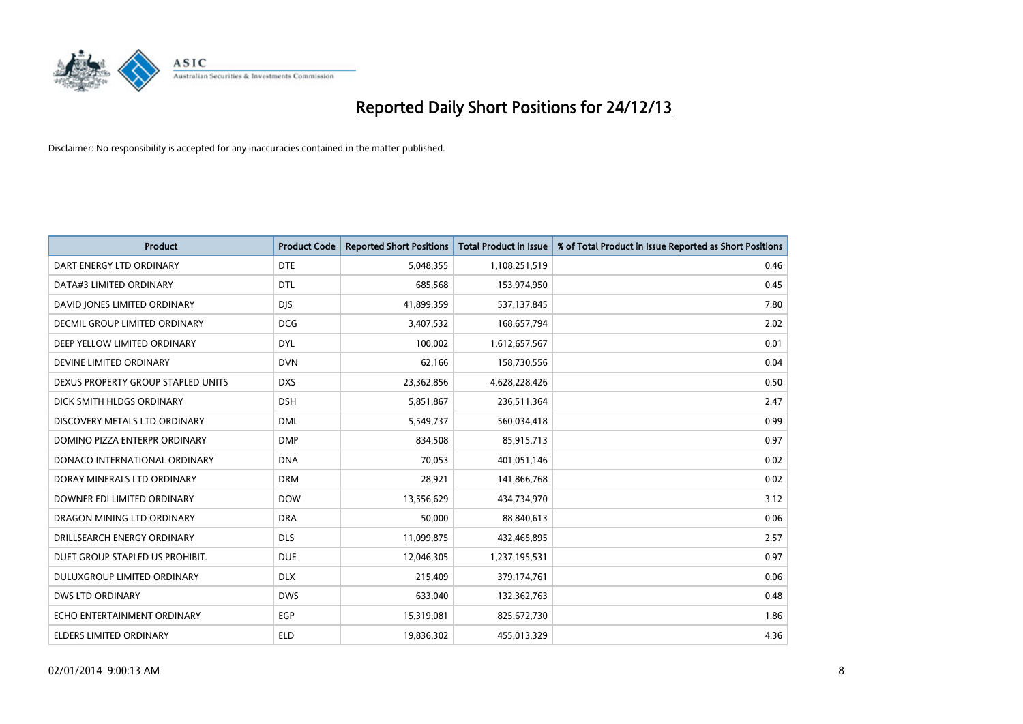

| <b>Product</b>                       | <b>Product Code</b> | <b>Reported Short Positions</b> | <b>Total Product in Issue</b> | % of Total Product in Issue Reported as Short Positions |
|--------------------------------------|---------------------|---------------------------------|-------------------------------|---------------------------------------------------------|
| DART ENERGY LTD ORDINARY             | <b>DTE</b>          | 5,048,355                       | 1,108,251,519                 | 0.46                                                    |
| DATA#3 LIMITED ORDINARY              | <b>DTL</b>          | 685,568                         | 153,974,950                   | 0.45                                                    |
| DAVID JONES LIMITED ORDINARY         | <b>DJS</b>          | 41,899,359                      | 537,137,845                   | 7.80                                                    |
| <b>DECMIL GROUP LIMITED ORDINARY</b> | <b>DCG</b>          | 3,407,532                       | 168,657,794                   | 2.02                                                    |
| DEEP YELLOW LIMITED ORDINARY         | <b>DYL</b>          | 100,002                         | 1,612,657,567                 | 0.01                                                    |
| DEVINE LIMITED ORDINARY              | <b>DVN</b>          | 62,166                          | 158,730,556                   | 0.04                                                    |
| DEXUS PROPERTY GROUP STAPLED UNITS   | <b>DXS</b>          | 23,362,856                      | 4,628,228,426                 | 0.50                                                    |
| DICK SMITH HLDGS ORDINARY            | <b>DSH</b>          | 5,851,867                       | 236,511,364                   | 2.47                                                    |
| DISCOVERY METALS LTD ORDINARY        | <b>DML</b>          | 5,549,737                       | 560,034,418                   | 0.99                                                    |
| DOMINO PIZZA ENTERPR ORDINARY        | <b>DMP</b>          | 834,508                         | 85,915,713                    | 0.97                                                    |
| DONACO INTERNATIONAL ORDINARY        | <b>DNA</b>          | 70,053                          | 401,051,146                   | 0.02                                                    |
| DORAY MINERALS LTD ORDINARY          | <b>DRM</b>          | 28,921                          | 141,866,768                   | 0.02                                                    |
| DOWNER EDI LIMITED ORDINARY          | <b>DOW</b>          | 13,556,629                      | 434,734,970                   | 3.12                                                    |
| DRAGON MINING LTD ORDINARY           | <b>DRA</b>          | 50,000                          | 88,840,613                    | 0.06                                                    |
| DRILLSEARCH ENERGY ORDINARY          | <b>DLS</b>          | 11,099,875                      | 432,465,895                   | 2.57                                                    |
| DUET GROUP STAPLED US PROHIBIT.      | <b>DUE</b>          | 12,046,305                      | 1,237,195,531                 | 0.97                                                    |
| DULUXGROUP LIMITED ORDINARY          | <b>DLX</b>          | 215,409                         | 379,174,761                   | 0.06                                                    |
| <b>DWS LTD ORDINARY</b>              | <b>DWS</b>          | 633,040                         | 132,362,763                   | 0.48                                                    |
| ECHO ENTERTAINMENT ORDINARY          | <b>EGP</b>          | 15,319,081                      | 825,672,730                   | 1.86                                                    |
| <b>ELDERS LIMITED ORDINARY</b>       | ELD                 | 19,836,302                      | 455,013,329                   | 4.36                                                    |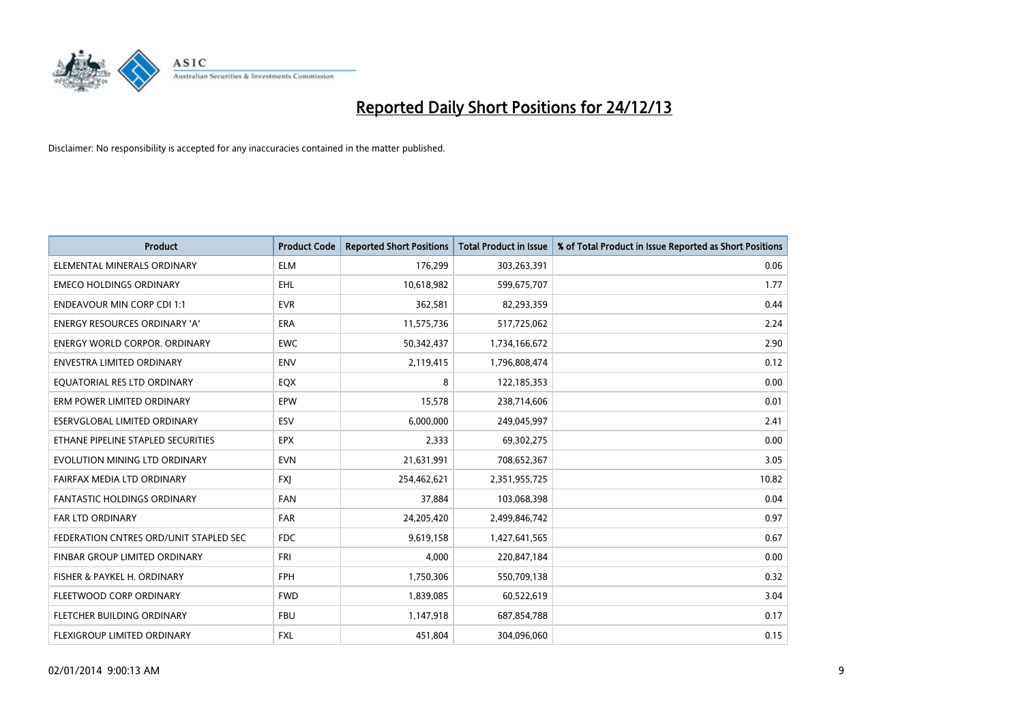

| <b>Product</b>                         | <b>Product Code</b> | <b>Reported Short Positions</b> | <b>Total Product in Issue</b> | % of Total Product in Issue Reported as Short Positions |
|----------------------------------------|---------------------|---------------------------------|-------------------------------|---------------------------------------------------------|
| ELEMENTAL MINERALS ORDINARY            | <b>ELM</b>          | 176,299                         | 303,263,391                   | 0.06                                                    |
| <b>EMECO HOLDINGS ORDINARY</b>         | <b>EHL</b>          | 10,618,982                      | 599,675,707                   | 1.77                                                    |
| <b>ENDEAVOUR MIN CORP CDI 1:1</b>      | <b>EVR</b>          | 362,581                         | 82,293,359                    | 0.44                                                    |
| ENERGY RESOURCES ORDINARY 'A'          | <b>ERA</b>          | 11,575,736                      | 517,725,062                   | 2.24                                                    |
| <b>ENERGY WORLD CORPOR, ORDINARY</b>   | <b>EWC</b>          | 50,342,437                      | 1,734,166,672                 | 2.90                                                    |
| ENVESTRA LIMITED ORDINARY              | <b>ENV</b>          | 2,119,415                       | 1,796,808,474                 | 0.12                                                    |
| EQUATORIAL RES LTD ORDINARY            | EQX                 | 8                               | 122,185,353                   | 0.00                                                    |
| ERM POWER LIMITED ORDINARY             | EPW                 | 15,578                          | 238,714,606                   | 0.01                                                    |
| ESERVGLOBAL LIMITED ORDINARY           | ESV                 | 6,000,000                       | 249,045,997                   | 2.41                                                    |
| ETHANE PIPELINE STAPLED SECURITIES     | <b>EPX</b>          | 2,333                           | 69,302,275                    | 0.00                                                    |
| EVOLUTION MINING LTD ORDINARY          | <b>EVN</b>          | 21,631,991                      | 708,652,367                   | 3.05                                                    |
| FAIRFAX MEDIA LTD ORDINARY             | <b>FXI</b>          | 254,462,621                     | 2,351,955,725                 | 10.82                                                   |
| <b>FANTASTIC HOLDINGS ORDINARY</b>     | <b>FAN</b>          | 37,884                          | 103,068,398                   | 0.04                                                    |
| <b>FAR LTD ORDINARY</b>                | <b>FAR</b>          | 24,205,420                      | 2,499,846,742                 | 0.97                                                    |
| FEDERATION CNTRES ORD/UNIT STAPLED SEC | <b>FDC</b>          | 9,619,158                       | 1,427,641,565                 | 0.67                                                    |
| <b>FINBAR GROUP LIMITED ORDINARY</b>   | FRI                 | 4,000                           | 220,847,184                   | 0.00                                                    |
| FISHER & PAYKEL H. ORDINARY            | <b>FPH</b>          | 1,750,306                       | 550,709,138                   | 0.32                                                    |
| FLEETWOOD CORP ORDINARY                | <b>FWD</b>          | 1,839,085                       | 60,522,619                    | 3.04                                                    |
| FLETCHER BUILDING ORDINARY             | <b>FBU</b>          | 1,147,918                       | 687,854,788                   | 0.17                                                    |
| FLEXIGROUP LIMITED ORDINARY            | <b>FXL</b>          | 451,804                         | 304,096,060                   | 0.15                                                    |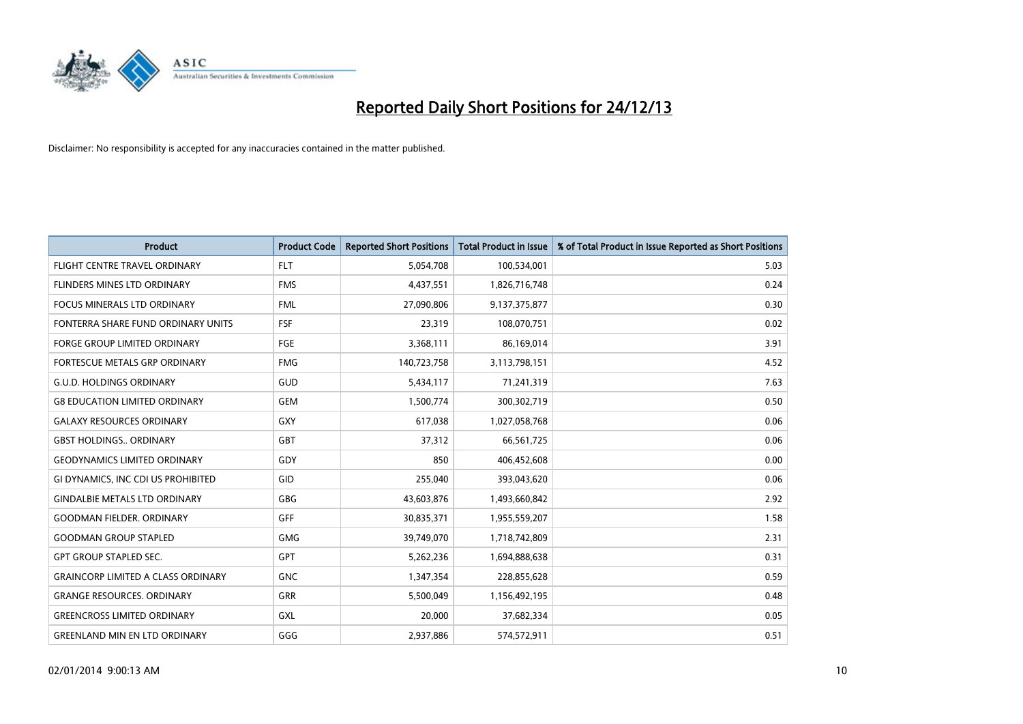

| <b>Product</b>                            | <b>Product Code</b> | <b>Reported Short Positions</b> | <b>Total Product in Issue</b> | % of Total Product in Issue Reported as Short Positions |
|-------------------------------------------|---------------------|---------------------------------|-------------------------------|---------------------------------------------------------|
| FLIGHT CENTRE TRAVEL ORDINARY             | <b>FLT</b>          | 5,054,708                       | 100,534,001                   | 5.03                                                    |
| FLINDERS MINES LTD ORDINARY               | <b>FMS</b>          | 4,437,551                       | 1,826,716,748                 | 0.24                                                    |
| <b>FOCUS MINERALS LTD ORDINARY</b>        | <b>FML</b>          | 27,090,806                      | 9,137,375,877                 | 0.30                                                    |
| FONTERRA SHARE FUND ORDINARY UNITS        | <b>FSF</b>          | 23,319                          | 108,070,751                   | 0.02                                                    |
| <b>FORGE GROUP LIMITED ORDINARY</b>       | <b>FGE</b>          | 3,368,111                       | 86,169,014                    | 3.91                                                    |
| FORTESCUE METALS GRP ORDINARY             | <b>FMG</b>          | 140,723,758                     | 3,113,798,151                 | 4.52                                                    |
| <b>G.U.D. HOLDINGS ORDINARY</b>           | GUD                 | 5,434,117                       | 71,241,319                    | 7.63                                                    |
| <b>G8 EDUCATION LIMITED ORDINARY</b>      | <b>GEM</b>          | 1,500,774                       | 300,302,719                   | 0.50                                                    |
| <b>GALAXY RESOURCES ORDINARY</b>          | GXY                 | 617,038                         | 1,027,058,768                 | 0.06                                                    |
| <b>GBST HOLDINGS., ORDINARY</b>           | GBT                 | 37,312                          | 66,561,725                    | 0.06                                                    |
| <b>GEODYNAMICS LIMITED ORDINARY</b>       | GDY                 | 850                             | 406,452,608                   | 0.00                                                    |
| GI DYNAMICS, INC CDI US PROHIBITED        | GID                 | 255,040                         | 393,043,620                   | 0.06                                                    |
| <b>GINDALBIE METALS LTD ORDINARY</b>      | GBG                 | 43,603,876                      | 1,493,660,842                 | 2.92                                                    |
| <b>GOODMAN FIELDER, ORDINARY</b>          | GFF                 | 30,835,371                      | 1,955,559,207                 | 1.58                                                    |
| <b>GOODMAN GROUP STAPLED</b>              | <b>GMG</b>          | 39,749,070                      | 1,718,742,809                 | 2.31                                                    |
| <b>GPT GROUP STAPLED SEC.</b>             | GPT                 | 5,262,236                       | 1,694,888,638                 | 0.31                                                    |
| <b>GRAINCORP LIMITED A CLASS ORDINARY</b> | <b>GNC</b>          | 1,347,354                       | 228,855,628                   | 0.59                                                    |
| <b>GRANGE RESOURCES. ORDINARY</b>         | GRR                 | 5,500,049                       | 1,156,492,195                 | 0.48                                                    |
| <b>GREENCROSS LIMITED ORDINARY</b>        | GXL                 | 20,000                          | 37,682,334                    | 0.05                                                    |
| <b>GREENLAND MIN EN LTD ORDINARY</b>      | GGG                 | 2,937,886                       | 574,572,911                   | 0.51                                                    |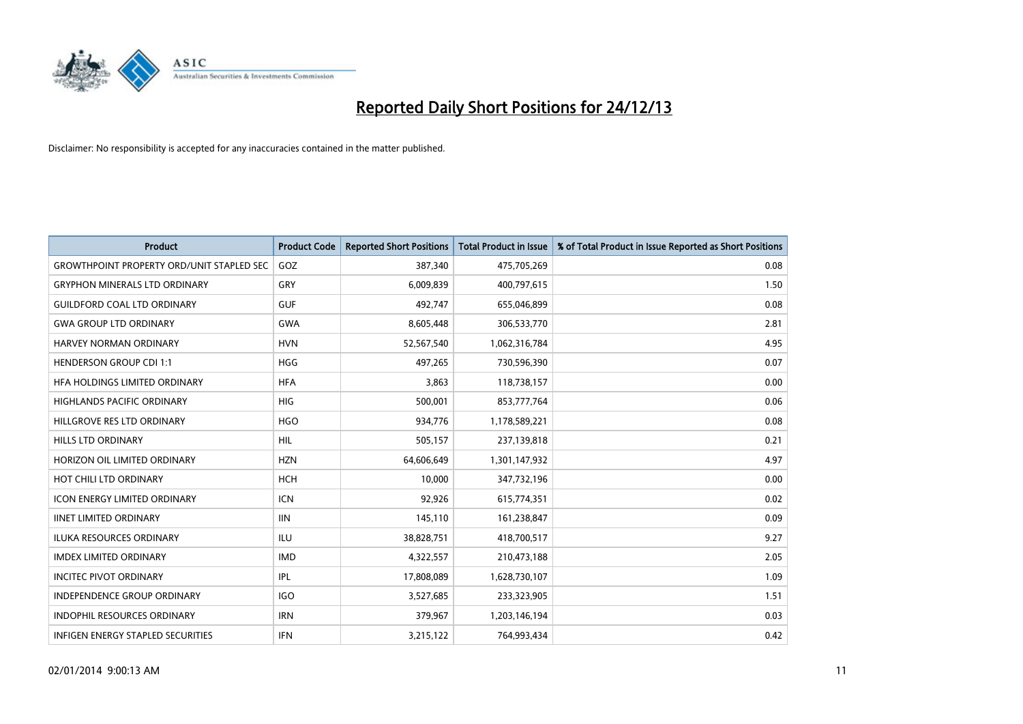

| <b>Product</b>                                   | <b>Product Code</b> | <b>Reported Short Positions</b> | <b>Total Product in Issue</b> | % of Total Product in Issue Reported as Short Positions |
|--------------------------------------------------|---------------------|---------------------------------|-------------------------------|---------------------------------------------------------|
| <b>GROWTHPOINT PROPERTY ORD/UNIT STAPLED SEC</b> | GOZ                 | 387,340                         | 475,705,269                   | 0.08                                                    |
| <b>GRYPHON MINERALS LTD ORDINARY</b>             | <b>GRY</b>          | 6,009,839                       | 400,797,615                   | 1.50                                                    |
| <b>GUILDFORD COAL LTD ORDINARY</b>               | <b>GUF</b>          | 492,747                         | 655,046,899                   | 0.08                                                    |
| <b>GWA GROUP LTD ORDINARY</b>                    | <b>GWA</b>          | 8,605,448                       | 306,533,770                   | 2.81                                                    |
| <b>HARVEY NORMAN ORDINARY</b>                    | <b>HVN</b>          | 52,567,540                      | 1,062,316,784                 | 4.95                                                    |
| <b>HENDERSON GROUP CDI 1:1</b>                   | <b>HGG</b>          | 497,265                         | 730,596,390                   | 0.07                                                    |
| <b>HFA HOLDINGS LIMITED ORDINARY</b>             | <b>HFA</b>          | 3,863                           | 118,738,157                   | 0.00                                                    |
| HIGHLANDS PACIFIC ORDINARY                       | <b>HIG</b>          | 500,001                         | 853,777,764                   | 0.06                                                    |
| HILLGROVE RES LTD ORDINARY                       | <b>HGO</b>          | 934,776                         | 1,178,589,221                 | 0.08                                                    |
| <b>HILLS LTD ORDINARY</b>                        | <b>HIL</b>          | 505,157                         | 237,139,818                   | 0.21                                                    |
| HORIZON OIL LIMITED ORDINARY                     | <b>HZN</b>          | 64,606,649                      | 1,301,147,932                 | 4.97                                                    |
| HOT CHILI LTD ORDINARY                           | <b>HCH</b>          | 10,000                          | 347,732,196                   | 0.00                                                    |
| <b>ICON ENERGY LIMITED ORDINARY</b>              | <b>ICN</b>          | 92,926                          | 615,774,351                   | 0.02                                                    |
| <b>IINET LIMITED ORDINARY</b>                    | <b>IIN</b>          | 145,110                         | 161,238,847                   | 0.09                                                    |
| <b>ILUKA RESOURCES ORDINARY</b>                  | ILU                 | 38,828,751                      | 418,700,517                   | 9.27                                                    |
| <b>IMDEX LIMITED ORDINARY</b>                    | <b>IMD</b>          | 4,322,557                       | 210,473,188                   | 2.05                                                    |
| <b>INCITEC PIVOT ORDINARY</b>                    | <b>IPL</b>          | 17,808,089                      | 1,628,730,107                 | 1.09                                                    |
| INDEPENDENCE GROUP ORDINARY                      | <b>IGO</b>          | 3,527,685                       | 233,323,905                   | 1.51                                                    |
| <b>INDOPHIL RESOURCES ORDINARY</b>               | <b>IRN</b>          | 379,967                         | 1,203,146,194                 | 0.03                                                    |
| INFIGEN ENERGY STAPLED SECURITIES                | <b>IFN</b>          | 3,215,122                       | 764,993,434                   | 0.42                                                    |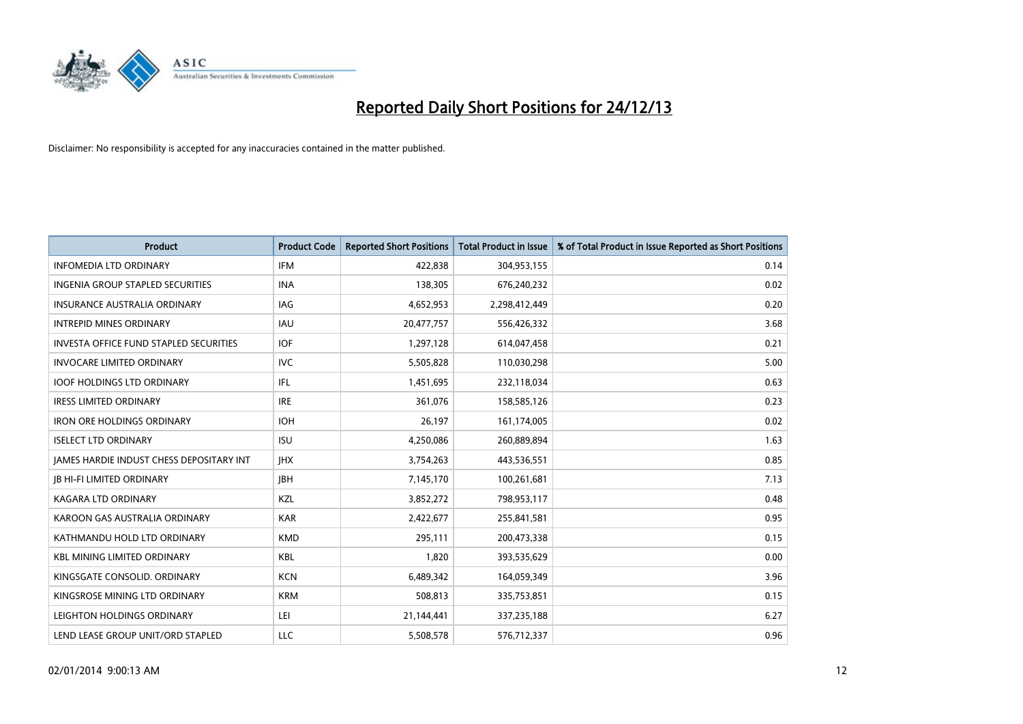

| <b>Product</b>                                  | <b>Product Code</b> | <b>Reported Short Positions</b> | <b>Total Product in Issue</b> | % of Total Product in Issue Reported as Short Positions |
|-------------------------------------------------|---------------------|---------------------------------|-------------------------------|---------------------------------------------------------|
| <b>INFOMEDIA LTD ORDINARY</b>                   | <b>IFM</b>          | 422,838                         | 304,953,155                   | 0.14                                                    |
| INGENIA GROUP STAPLED SECURITIES                | <b>INA</b>          | 138,305                         | 676,240,232                   | 0.02                                                    |
| <b>INSURANCE AUSTRALIA ORDINARY</b>             | IAG                 | 4,652,953                       | 2,298,412,449                 | 0.20                                                    |
| <b>INTREPID MINES ORDINARY</b>                  | <b>IAU</b>          | 20,477,757                      | 556,426,332                   | 3.68                                                    |
| <b>INVESTA OFFICE FUND STAPLED SECURITIES</b>   | <b>IOF</b>          | 1,297,128                       | 614,047,458                   | 0.21                                                    |
| <b>INVOCARE LIMITED ORDINARY</b>                | <b>IVC</b>          | 5,505,828                       | 110,030,298                   | 5.00                                                    |
| <b>IOOF HOLDINGS LTD ORDINARY</b>               | IFL                 | 1,451,695                       | 232,118,034                   | 0.63                                                    |
| <b>IRESS LIMITED ORDINARY</b>                   | <b>IRE</b>          | 361,076                         | 158,585,126                   | 0.23                                                    |
| <b>IRON ORE HOLDINGS ORDINARY</b>               | <b>IOH</b>          | 26,197                          | 161,174,005                   | 0.02                                                    |
| <b>ISELECT LTD ORDINARY</b>                     | <b>ISU</b>          | 4,250,086                       | 260,889,894                   | 1.63                                                    |
| <b>JAMES HARDIE INDUST CHESS DEPOSITARY INT</b> | <b>IHX</b>          | 3,754,263                       | 443,536,551                   | 0.85                                                    |
| <b>IB HI-FI LIMITED ORDINARY</b>                | <b>IBH</b>          | 7,145,170                       | 100,261,681                   | 7.13                                                    |
| <b>KAGARA LTD ORDINARY</b>                      | <b>KZL</b>          | 3,852,272                       | 798,953,117                   | 0.48                                                    |
| KAROON GAS AUSTRALIA ORDINARY                   | <b>KAR</b>          | 2,422,677                       | 255,841,581                   | 0.95                                                    |
| KATHMANDU HOLD LTD ORDINARY                     | <b>KMD</b>          | 295,111                         | 200,473,338                   | 0.15                                                    |
| <b>KBL MINING LIMITED ORDINARY</b>              | KBL                 | 1,820                           | 393,535,629                   | 0.00                                                    |
| KINGSGATE CONSOLID. ORDINARY                    | <b>KCN</b>          | 6,489,342                       | 164,059,349                   | 3.96                                                    |
| KINGSROSE MINING LTD ORDINARY                   | <b>KRM</b>          | 508,813                         | 335,753,851                   | 0.15                                                    |
| LEIGHTON HOLDINGS ORDINARY                      | LEI                 | 21,144,441                      | 337,235,188                   | 6.27                                                    |
| LEND LEASE GROUP UNIT/ORD STAPLED               | LLC                 | 5,508,578                       | 576,712,337                   | 0.96                                                    |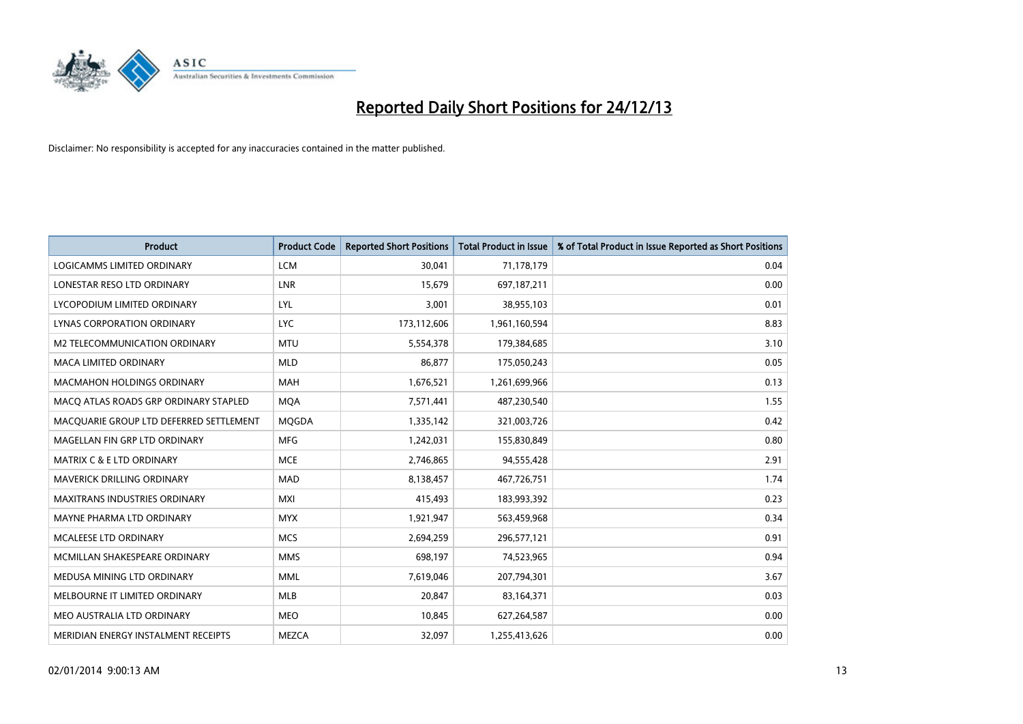

| <b>Product</b>                          | <b>Product Code</b> | <b>Reported Short Positions</b> | <b>Total Product in Issue</b> | % of Total Product in Issue Reported as Short Positions |
|-----------------------------------------|---------------------|---------------------------------|-------------------------------|---------------------------------------------------------|
| LOGICAMMS LIMITED ORDINARY              | <b>LCM</b>          | 30,041                          | 71,178,179                    | 0.04                                                    |
| LONESTAR RESO LTD ORDINARY              | <b>LNR</b>          | 15,679                          | 697,187,211                   | 0.00                                                    |
| LYCOPODIUM LIMITED ORDINARY             | LYL                 | 3,001                           | 38,955,103                    | 0.01                                                    |
| LYNAS CORPORATION ORDINARY              | <b>LYC</b>          | 173,112,606                     | 1,961,160,594                 | 8.83                                                    |
| <b>M2 TELECOMMUNICATION ORDINARY</b>    | <b>MTU</b>          | 5,554,378                       | 179,384,685                   | 3.10                                                    |
| <b>MACA LIMITED ORDINARY</b>            | <b>MLD</b>          | 86,877                          | 175,050,243                   | 0.05                                                    |
| MACMAHON HOLDINGS ORDINARY              | <b>MAH</b>          | 1,676,521                       | 1,261,699,966                 | 0.13                                                    |
| MACO ATLAS ROADS GRP ORDINARY STAPLED   | <b>MQA</b>          | 7,571,441                       | 487,230,540                   | 1.55                                                    |
| MACQUARIE GROUP LTD DEFERRED SETTLEMENT | <b>MQGDA</b>        | 1,335,142                       | 321,003,726                   | 0.42                                                    |
| MAGELLAN FIN GRP LTD ORDINARY           | <b>MFG</b>          | 1,242,031                       | 155,830,849                   | 0.80                                                    |
| <b>MATRIX C &amp; E LTD ORDINARY</b>    | <b>MCE</b>          | 2,746,865                       | 94,555,428                    | 2.91                                                    |
| MAVERICK DRILLING ORDINARY              | <b>MAD</b>          | 8,138,457                       | 467,726,751                   | 1.74                                                    |
| <b>MAXITRANS INDUSTRIES ORDINARY</b>    | <b>MXI</b>          | 415,493                         | 183,993,392                   | 0.23                                                    |
| MAYNE PHARMA LTD ORDINARY               | <b>MYX</b>          | 1,921,947                       | 563,459,968                   | 0.34                                                    |
| MCALEESE LTD ORDINARY                   | <b>MCS</b>          | 2,694,259                       | 296,577,121                   | 0.91                                                    |
| MCMILLAN SHAKESPEARE ORDINARY           | <b>MMS</b>          | 698,197                         | 74,523,965                    | 0.94                                                    |
| MEDUSA MINING LTD ORDINARY              | MML                 | 7,619,046                       | 207,794,301                   | 3.67                                                    |
| MELBOURNE IT LIMITED ORDINARY           | <b>MLB</b>          | 20,847                          | 83,164,371                    | 0.03                                                    |
| MEO AUSTRALIA LTD ORDINARY              | <b>MEO</b>          | 10,845                          | 627,264,587                   | 0.00                                                    |
| MERIDIAN ENERGY INSTALMENT RECEIPTS     | <b>MEZCA</b>        | 32,097                          | 1,255,413,626                 | 0.00                                                    |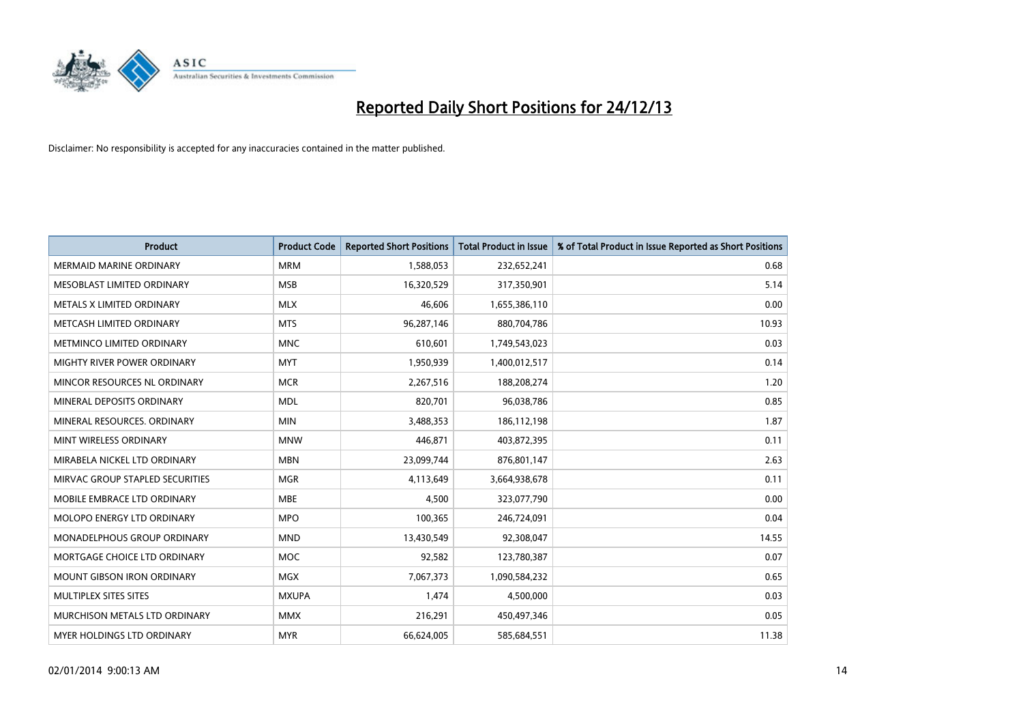

| <b>Product</b>                  | <b>Product Code</b> | <b>Reported Short Positions</b> | <b>Total Product in Issue</b> | % of Total Product in Issue Reported as Short Positions |
|---------------------------------|---------------------|---------------------------------|-------------------------------|---------------------------------------------------------|
| <b>MERMAID MARINE ORDINARY</b>  | <b>MRM</b>          | 1,588,053                       | 232,652,241                   | 0.68                                                    |
| MESOBLAST LIMITED ORDINARY      | <b>MSB</b>          | 16,320,529                      | 317,350,901                   | 5.14                                                    |
| METALS X LIMITED ORDINARY       | <b>MLX</b>          | 46,606                          | 1,655,386,110                 | 0.00                                                    |
| METCASH LIMITED ORDINARY        | <b>MTS</b>          | 96,287,146                      | 880,704,786                   | 10.93                                                   |
| METMINCO LIMITED ORDINARY       | <b>MNC</b>          | 610,601                         | 1,749,543,023                 | 0.03                                                    |
| MIGHTY RIVER POWER ORDINARY     | <b>MYT</b>          | 1,950,939                       | 1,400,012,517                 | 0.14                                                    |
| MINCOR RESOURCES NL ORDINARY    | <b>MCR</b>          | 2,267,516                       | 188,208,274                   | 1.20                                                    |
| MINERAL DEPOSITS ORDINARY       | <b>MDL</b>          | 820,701                         | 96,038,786                    | 0.85                                                    |
| MINERAL RESOURCES, ORDINARY     | <b>MIN</b>          | 3,488,353                       | 186,112,198                   | 1.87                                                    |
| MINT WIRELESS ORDINARY          | <b>MNW</b>          | 446,871                         | 403,872,395                   | 0.11                                                    |
| MIRABELA NICKEL LTD ORDINARY    | <b>MBN</b>          | 23,099,744                      | 876,801,147                   | 2.63                                                    |
| MIRVAC GROUP STAPLED SECURITIES | <b>MGR</b>          | 4,113,649                       | 3,664,938,678                 | 0.11                                                    |
| MOBILE EMBRACE LTD ORDINARY     | <b>MBE</b>          | 4,500                           | 323,077,790                   | 0.00                                                    |
| MOLOPO ENERGY LTD ORDINARY      | <b>MPO</b>          | 100,365                         | 246,724,091                   | 0.04                                                    |
| MONADELPHOUS GROUP ORDINARY     | <b>MND</b>          | 13,430,549                      | 92,308,047                    | 14.55                                                   |
| MORTGAGE CHOICE LTD ORDINARY    | MOC                 | 92,582                          | 123,780,387                   | 0.07                                                    |
| MOUNT GIBSON IRON ORDINARY      | <b>MGX</b>          | 7,067,373                       | 1,090,584,232                 | 0.65                                                    |
| MULTIPLEX SITES SITES           | <b>MXUPA</b>        | 1,474                           | 4,500,000                     | 0.03                                                    |
| MURCHISON METALS LTD ORDINARY   | <b>MMX</b>          | 216,291                         | 450,497,346                   | 0.05                                                    |
| MYER HOLDINGS LTD ORDINARY      | <b>MYR</b>          | 66,624,005                      | 585,684,551                   | 11.38                                                   |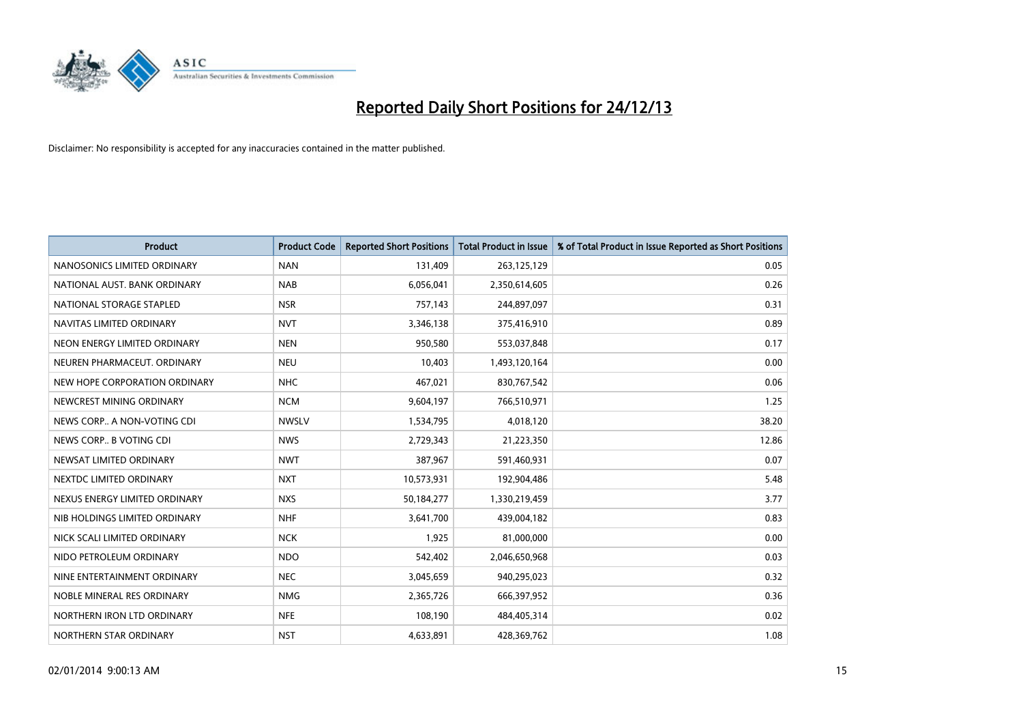

| <b>Product</b>                | <b>Product Code</b> | <b>Reported Short Positions</b> | <b>Total Product in Issue</b> | % of Total Product in Issue Reported as Short Positions |
|-------------------------------|---------------------|---------------------------------|-------------------------------|---------------------------------------------------------|
| NANOSONICS LIMITED ORDINARY   | <b>NAN</b>          | 131,409                         | 263,125,129                   | 0.05                                                    |
| NATIONAL AUST. BANK ORDINARY  | <b>NAB</b>          | 6,056,041                       | 2,350,614,605                 | 0.26                                                    |
| NATIONAL STORAGE STAPLED      | <b>NSR</b>          | 757,143                         | 244,897,097                   | 0.31                                                    |
| NAVITAS LIMITED ORDINARY      | <b>NVT</b>          | 3,346,138                       | 375,416,910                   | 0.89                                                    |
| NEON ENERGY LIMITED ORDINARY  | <b>NEN</b>          | 950,580                         | 553,037,848                   | 0.17                                                    |
| NEUREN PHARMACEUT, ORDINARY   | <b>NEU</b>          | 10,403                          | 1,493,120,164                 | 0.00                                                    |
| NEW HOPE CORPORATION ORDINARY | <b>NHC</b>          | 467,021                         | 830,767,542                   | 0.06                                                    |
| NEWCREST MINING ORDINARY      | <b>NCM</b>          | 9,604,197                       | 766,510,971                   | 1.25                                                    |
| NEWS CORP A NON-VOTING CDI    | <b>NWSLV</b>        | 1,534,795                       | 4,018,120                     | 38.20                                                   |
| NEWS CORP B VOTING CDI        | <b>NWS</b>          | 2,729,343                       | 21,223,350                    | 12.86                                                   |
| NEWSAT LIMITED ORDINARY       | <b>NWT</b>          | 387,967                         | 591,460,931                   | 0.07                                                    |
| NEXTDC LIMITED ORDINARY       | <b>NXT</b>          | 10,573,931                      | 192,904,486                   | 5.48                                                    |
| NEXUS ENERGY LIMITED ORDINARY | <b>NXS</b>          | 50,184,277                      | 1,330,219,459                 | 3.77                                                    |
| NIB HOLDINGS LIMITED ORDINARY | <b>NHF</b>          | 3,641,700                       | 439,004,182                   | 0.83                                                    |
| NICK SCALI LIMITED ORDINARY   | <b>NCK</b>          | 1,925                           | 81,000,000                    | 0.00                                                    |
| NIDO PETROLEUM ORDINARY       | <b>NDO</b>          | 542,402                         | 2,046,650,968                 | 0.03                                                    |
| NINE ENTERTAINMENT ORDINARY   | <b>NEC</b>          | 3,045,659                       | 940,295,023                   | 0.32                                                    |
| NOBLE MINERAL RES ORDINARY    | <b>NMG</b>          | 2,365,726                       | 666,397,952                   | 0.36                                                    |
| NORTHERN IRON LTD ORDINARY    | <b>NFE</b>          | 108,190                         | 484,405,314                   | 0.02                                                    |
| NORTHERN STAR ORDINARY        | <b>NST</b>          | 4,633,891                       | 428,369,762                   | 1.08                                                    |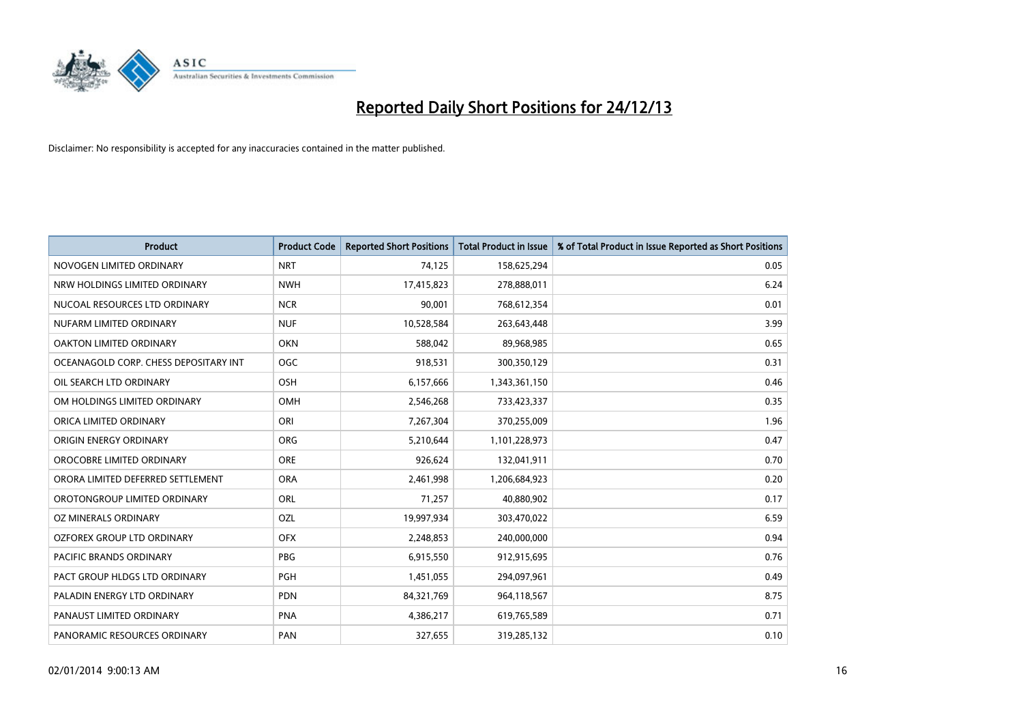

| <b>Product</b>                        | <b>Product Code</b> | <b>Reported Short Positions</b> | <b>Total Product in Issue</b> | % of Total Product in Issue Reported as Short Positions |
|---------------------------------------|---------------------|---------------------------------|-------------------------------|---------------------------------------------------------|
| NOVOGEN LIMITED ORDINARY              | <b>NRT</b>          | 74,125                          | 158,625,294                   | 0.05                                                    |
| NRW HOLDINGS LIMITED ORDINARY         | <b>NWH</b>          | 17,415,823                      | 278,888,011                   | 6.24                                                    |
| NUCOAL RESOURCES LTD ORDINARY         | <b>NCR</b>          | 90,001                          | 768,612,354                   | 0.01                                                    |
| NUFARM LIMITED ORDINARY               | <b>NUF</b>          | 10,528,584                      | 263,643,448                   | 3.99                                                    |
| <b>OAKTON LIMITED ORDINARY</b>        | <b>OKN</b>          | 588,042                         | 89,968,985                    | 0.65                                                    |
| OCEANAGOLD CORP. CHESS DEPOSITARY INT | OGC                 | 918,531                         | 300,350,129                   | 0.31                                                    |
| OIL SEARCH LTD ORDINARY               | <b>OSH</b>          | 6,157,666                       | 1,343,361,150                 | 0.46                                                    |
| OM HOLDINGS LIMITED ORDINARY          | OMH                 | 2,546,268                       | 733,423,337                   | 0.35                                                    |
| ORICA LIMITED ORDINARY                | ORI                 | 7,267,304                       | 370,255,009                   | 1.96                                                    |
| ORIGIN ENERGY ORDINARY                | <b>ORG</b>          | 5,210,644                       | 1,101,228,973                 | 0.47                                                    |
| OROCOBRE LIMITED ORDINARY             | <b>ORE</b>          | 926,624                         | 132,041,911                   | 0.70                                                    |
| ORORA LIMITED DEFERRED SETTLEMENT     | <b>ORA</b>          | 2,461,998                       | 1,206,684,923                 | 0.20                                                    |
| OROTONGROUP LIMITED ORDINARY          | <b>ORL</b>          | 71,257                          | 40,880,902                    | 0.17                                                    |
| OZ MINERALS ORDINARY                  | OZL                 | 19,997,934                      | 303,470,022                   | 6.59                                                    |
| OZFOREX GROUP LTD ORDINARY            | <b>OFX</b>          | 2,248,853                       | 240,000,000                   | 0.94                                                    |
| PACIFIC BRANDS ORDINARY               | <b>PBG</b>          | 6,915,550                       | 912,915,695                   | 0.76                                                    |
| PACT GROUP HLDGS LTD ORDINARY         | PGH                 | 1,451,055                       | 294,097,961                   | 0.49                                                    |
| PALADIN ENERGY LTD ORDINARY           | <b>PDN</b>          | 84,321,769                      | 964,118,567                   | 8.75                                                    |
| PANAUST LIMITED ORDINARY              | <b>PNA</b>          | 4,386,217                       | 619,765,589                   | 0.71                                                    |
| PANORAMIC RESOURCES ORDINARY          | PAN                 | 327,655                         | 319,285,132                   | 0.10                                                    |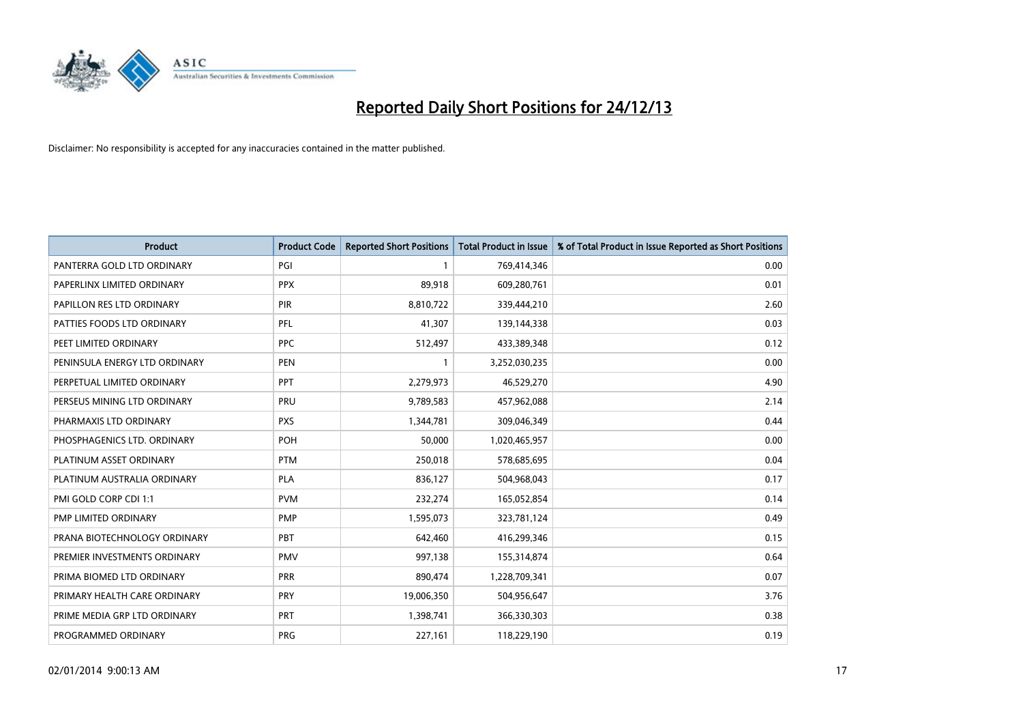

| <b>Product</b>                | <b>Product Code</b> | <b>Reported Short Positions</b> | <b>Total Product in Issue</b> | % of Total Product in Issue Reported as Short Positions |
|-------------------------------|---------------------|---------------------------------|-------------------------------|---------------------------------------------------------|
| PANTERRA GOLD LTD ORDINARY    | PGI                 | $\mathbf{1}$                    | 769,414,346                   | 0.00                                                    |
| PAPERLINX LIMITED ORDINARY    | <b>PPX</b>          | 89,918                          | 609,280,761                   | 0.01                                                    |
| PAPILLON RES LTD ORDINARY     | PIR                 | 8,810,722                       | 339,444,210                   | 2.60                                                    |
| PATTIES FOODS LTD ORDINARY    | PFL                 | 41,307                          | 139,144,338                   | 0.03                                                    |
| PEET LIMITED ORDINARY         | <b>PPC</b>          | 512,497                         | 433,389,348                   | 0.12                                                    |
| PENINSULA ENERGY LTD ORDINARY | <b>PEN</b>          | 1                               | 3,252,030,235                 | 0.00                                                    |
| PERPETUAL LIMITED ORDINARY    | PPT                 | 2,279,973                       | 46,529,270                    | 4.90                                                    |
| PERSEUS MINING LTD ORDINARY   | PRU                 | 9,789,583                       | 457,962,088                   | 2.14                                                    |
| PHARMAXIS LTD ORDINARY        | <b>PXS</b>          | 1,344,781                       | 309,046,349                   | 0.44                                                    |
| PHOSPHAGENICS LTD. ORDINARY   | POH                 | 50,000                          | 1,020,465,957                 | 0.00                                                    |
| PLATINUM ASSET ORDINARY       | <b>PTM</b>          | 250,018                         | 578,685,695                   | 0.04                                                    |
| PLATINUM AUSTRALIA ORDINARY   | <b>PLA</b>          | 836,127                         | 504,968,043                   | 0.17                                                    |
| PMI GOLD CORP CDI 1:1         | <b>PVM</b>          | 232,274                         | 165,052,854                   | 0.14                                                    |
| PMP LIMITED ORDINARY          | <b>PMP</b>          | 1,595,073                       | 323,781,124                   | 0.49                                                    |
| PRANA BIOTECHNOLOGY ORDINARY  | <b>PBT</b>          | 642,460                         | 416,299,346                   | 0.15                                                    |
| PREMIER INVESTMENTS ORDINARY  | <b>PMV</b>          | 997,138                         | 155,314,874                   | 0.64                                                    |
| PRIMA BIOMED LTD ORDINARY     | <b>PRR</b>          | 890,474                         | 1,228,709,341                 | 0.07                                                    |
| PRIMARY HEALTH CARE ORDINARY  | PRY                 | 19,006,350                      | 504,956,647                   | 3.76                                                    |
| PRIME MEDIA GRP LTD ORDINARY  | <b>PRT</b>          | 1,398,741                       | 366,330,303                   | 0.38                                                    |
| PROGRAMMED ORDINARY           | <b>PRG</b>          | 227,161                         | 118,229,190                   | 0.19                                                    |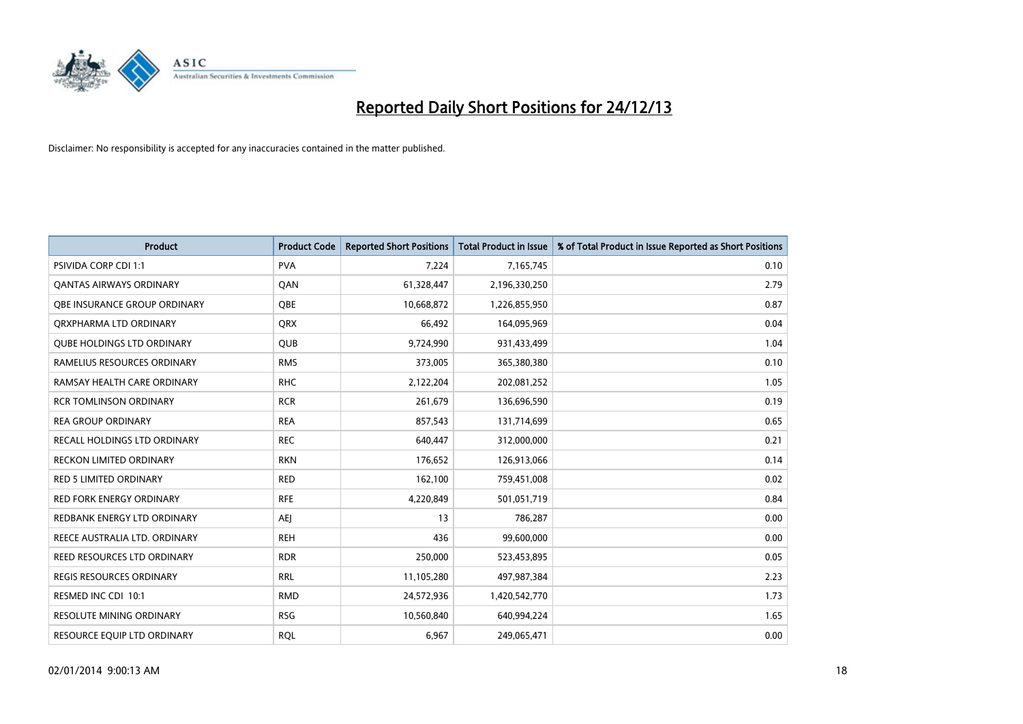

| <b>Product</b>                      | <b>Product Code</b> | <b>Reported Short Positions</b> | <b>Total Product in Issue</b> | % of Total Product in Issue Reported as Short Positions |
|-------------------------------------|---------------------|---------------------------------|-------------------------------|---------------------------------------------------------|
| <b>PSIVIDA CORP CDI 1:1</b>         | <b>PVA</b>          | 7,224                           | 7,165,745                     | 0.10                                                    |
| <b>QANTAS AIRWAYS ORDINARY</b>      | QAN                 | 61,328,447                      | 2,196,330,250                 | 2.79                                                    |
| <b>OBE INSURANCE GROUP ORDINARY</b> | <b>OBE</b>          | 10,668,872                      | 1,226,855,950                 | 0.87                                                    |
| ORXPHARMA LTD ORDINARY              | <b>QRX</b>          | 66,492                          | 164,095,969                   | 0.04                                                    |
| <b>QUBE HOLDINGS LTD ORDINARY</b>   | <b>QUB</b>          | 9,724,990                       | 931,433,499                   | 1.04                                                    |
| RAMELIUS RESOURCES ORDINARY         | <b>RMS</b>          | 373,005                         | 365,380,380                   | 0.10                                                    |
| RAMSAY HEALTH CARE ORDINARY         | <b>RHC</b>          | 2,122,204                       | 202,081,252                   | 1.05                                                    |
| <b>RCR TOMLINSON ORDINARY</b>       | <b>RCR</b>          | 261,679                         | 136,696,590                   | 0.19                                                    |
| <b>REA GROUP ORDINARY</b>           | <b>REA</b>          | 857,543                         | 131,714,699                   | 0.65                                                    |
| <b>RECALL HOLDINGS LTD ORDINARY</b> | <b>REC</b>          | 640,447                         | 312,000,000                   | 0.21                                                    |
| RECKON LIMITED ORDINARY             | <b>RKN</b>          | 176,652                         | 126,913,066                   | 0.14                                                    |
| RED 5 LIMITED ORDINARY              | <b>RED</b>          | 162,100                         | 759,451,008                   | 0.02                                                    |
| <b>RED FORK ENERGY ORDINARY</b>     | <b>RFE</b>          | 4,220,849                       | 501,051,719                   | 0.84                                                    |
| REDBANK ENERGY LTD ORDINARY         | AEJ                 | 13                              | 786,287                       | 0.00                                                    |
| REECE AUSTRALIA LTD. ORDINARY       | <b>REH</b>          | 436                             | 99,600,000                    | 0.00                                                    |
| REED RESOURCES LTD ORDINARY         | <b>RDR</b>          | 250,000                         | 523,453,895                   | 0.05                                                    |
| REGIS RESOURCES ORDINARY            | <b>RRL</b>          | 11,105,280                      | 497,987,384                   | 2.23                                                    |
| RESMED INC CDI 10:1                 | <b>RMD</b>          | 24,572,936                      | 1,420,542,770                 | 1.73                                                    |
| <b>RESOLUTE MINING ORDINARY</b>     | <b>RSG</b>          | 10,560,840                      | 640,994,224                   | 1.65                                                    |
| RESOURCE EQUIP LTD ORDINARY         | <b>RQL</b>          | 6,967                           | 249,065,471                   | 0.00                                                    |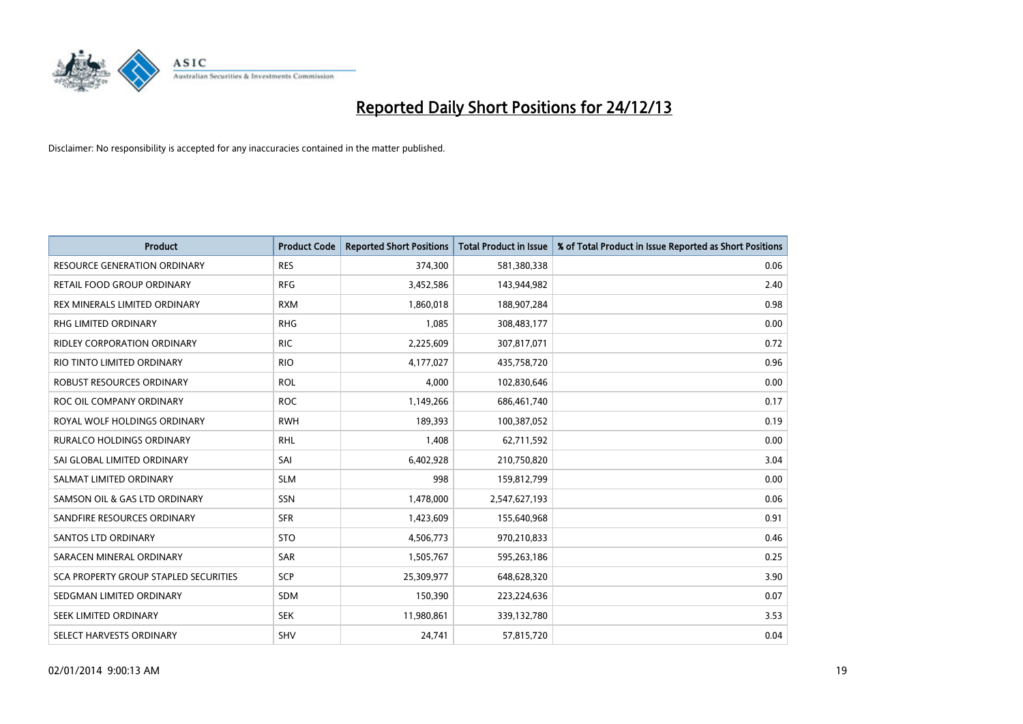

| <b>Product</b>                        | <b>Product Code</b> | <b>Reported Short Positions</b> | <b>Total Product in Issue</b> | % of Total Product in Issue Reported as Short Positions |
|---------------------------------------|---------------------|---------------------------------|-------------------------------|---------------------------------------------------------|
| <b>RESOURCE GENERATION ORDINARY</b>   | <b>RES</b>          | 374,300                         | 581,380,338                   | 0.06                                                    |
| RETAIL FOOD GROUP ORDINARY            | <b>RFG</b>          | 3,452,586                       | 143,944,982                   | 2.40                                                    |
| REX MINERALS LIMITED ORDINARY         | <b>RXM</b>          | 1,860,018                       | 188,907,284                   | 0.98                                                    |
| <b>RHG LIMITED ORDINARY</b>           | <b>RHG</b>          | 1,085                           | 308,483,177                   | 0.00                                                    |
| RIDLEY CORPORATION ORDINARY           | <b>RIC</b>          | 2,225,609                       | 307,817,071                   | 0.72                                                    |
| RIO TINTO LIMITED ORDINARY            | <b>RIO</b>          | 4,177,027                       | 435,758,720                   | 0.96                                                    |
| ROBUST RESOURCES ORDINARY             | <b>ROL</b>          | 4,000                           | 102,830,646                   | 0.00                                                    |
| ROC OIL COMPANY ORDINARY              | <b>ROC</b>          | 1,149,266                       | 686,461,740                   | 0.17                                                    |
| ROYAL WOLF HOLDINGS ORDINARY          | <b>RWH</b>          | 189,393                         | 100,387,052                   | 0.19                                                    |
| <b>RURALCO HOLDINGS ORDINARY</b>      | <b>RHL</b>          | 1,408                           | 62,711,592                    | 0.00                                                    |
| SAI GLOBAL LIMITED ORDINARY           | SAI                 | 6,402,928                       | 210,750,820                   | 3.04                                                    |
| SALMAT LIMITED ORDINARY               | <b>SLM</b>          | 998                             | 159,812,799                   | 0.00                                                    |
| SAMSON OIL & GAS LTD ORDINARY         | SSN                 | 1,478,000                       | 2,547,627,193                 | 0.06                                                    |
| SANDFIRE RESOURCES ORDINARY           | <b>SFR</b>          | 1,423,609                       | 155,640,968                   | 0.91                                                    |
| SANTOS LTD ORDINARY                   | <b>STO</b>          | 4,506,773                       | 970,210,833                   | 0.46                                                    |
| SARACEN MINERAL ORDINARY              | SAR                 | 1,505,767                       | 595,263,186                   | 0.25                                                    |
| SCA PROPERTY GROUP STAPLED SECURITIES | SCP                 | 25,309,977                      | 648,628,320                   | 3.90                                                    |
| SEDGMAN LIMITED ORDINARY              | <b>SDM</b>          | 150,390                         | 223,224,636                   | 0.07                                                    |
| SEEK LIMITED ORDINARY                 | <b>SEK</b>          | 11,980,861                      | 339,132,780                   | 3.53                                                    |
| SELECT HARVESTS ORDINARY              | SHV                 | 24,741                          | 57,815,720                    | 0.04                                                    |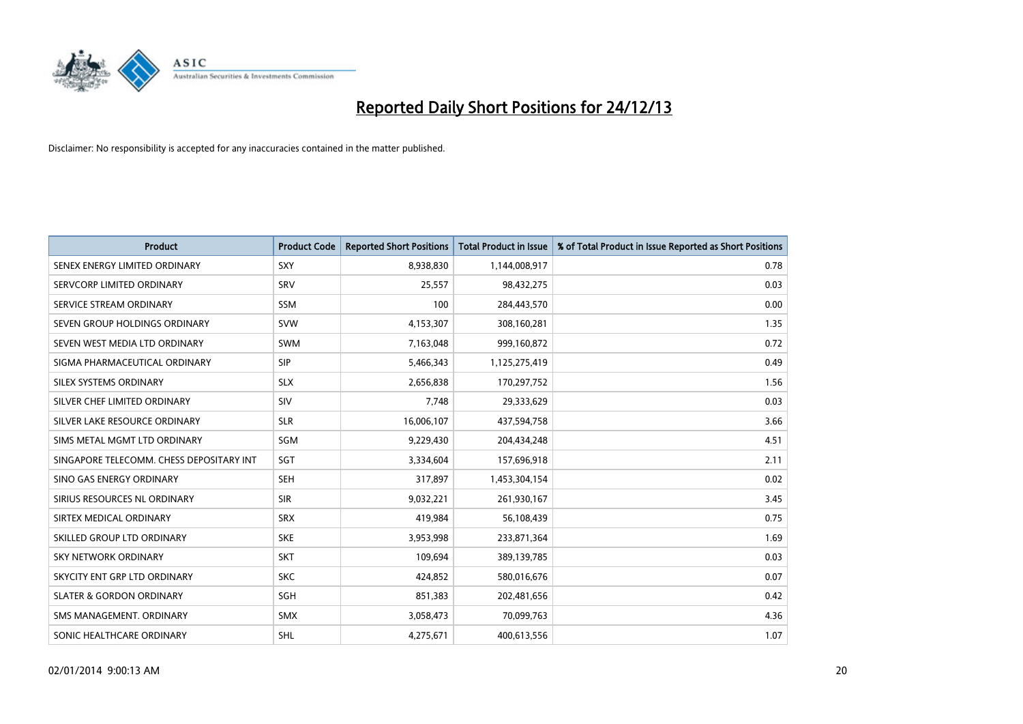

| <b>Product</b>                           | <b>Product Code</b> | <b>Reported Short Positions</b> | <b>Total Product in Issue</b> | % of Total Product in Issue Reported as Short Positions |
|------------------------------------------|---------------------|---------------------------------|-------------------------------|---------------------------------------------------------|
| SENEX ENERGY LIMITED ORDINARY            | <b>SXY</b>          | 8,938,830                       | 1,144,008,917                 | 0.78                                                    |
| SERVCORP LIMITED ORDINARY                | SRV                 | 25,557                          | 98,432,275                    | 0.03                                                    |
| SERVICE STREAM ORDINARY                  | SSM                 | 100                             | 284,443,570                   | 0.00                                                    |
| SEVEN GROUP HOLDINGS ORDINARY            | <b>SVW</b>          | 4,153,307                       | 308,160,281                   | 1.35                                                    |
| SEVEN WEST MEDIA LTD ORDINARY            | <b>SWM</b>          | 7,163,048                       | 999,160,872                   | 0.72                                                    |
| SIGMA PHARMACEUTICAL ORDINARY            | <b>SIP</b>          | 5,466,343                       | 1,125,275,419                 | 0.49                                                    |
| SILEX SYSTEMS ORDINARY                   | <b>SLX</b>          | 2,656,838                       | 170,297,752                   | 1.56                                                    |
| SILVER CHEF LIMITED ORDINARY             | SIV                 | 7,748                           | 29,333,629                    | 0.03                                                    |
| SILVER LAKE RESOURCE ORDINARY            | <b>SLR</b>          | 16,006,107                      | 437,594,758                   | 3.66                                                    |
| SIMS METAL MGMT LTD ORDINARY             | SGM                 | 9,229,430                       | 204,434,248                   | 4.51                                                    |
| SINGAPORE TELECOMM. CHESS DEPOSITARY INT | SGT                 | 3,334,604                       | 157,696,918                   | 2.11                                                    |
| SINO GAS ENERGY ORDINARY                 | <b>SEH</b>          | 317,897                         | 1,453,304,154                 | 0.02                                                    |
| SIRIUS RESOURCES NL ORDINARY             | <b>SIR</b>          | 9,032,221                       | 261,930,167                   | 3.45                                                    |
| SIRTEX MEDICAL ORDINARY                  | <b>SRX</b>          | 419,984                         | 56,108,439                    | 0.75                                                    |
| SKILLED GROUP LTD ORDINARY               | <b>SKE</b>          | 3,953,998                       | 233,871,364                   | 1.69                                                    |
| <b>SKY NETWORK ORDINARY</b>              | <b>SKT</b>          | 109,694                         | 389,139,785                   | 0.03                                                    |
| SKYCITY ENT GRP LTD ORDINARY             | <b>SKC</b>          | 424,852                         | 580,016,676                   | 0.07                                                    |
| <b>SLATER &amp; GORDON ORDINARY</b>      | SGH                 | 851,383                         | 202,481,656                   | 0.42                                                    |
| SMS MANAGEMENT, ORDINARY                 | <b>SMX</b>          | 3,058,473                       | 70,099,763                    | 4.36                                                    |
| SONIC HEALTHCARE ORDINARY                | <b>SHL</b>          | 4,275,671                       | 400,613,556                   | 1.07                                                    |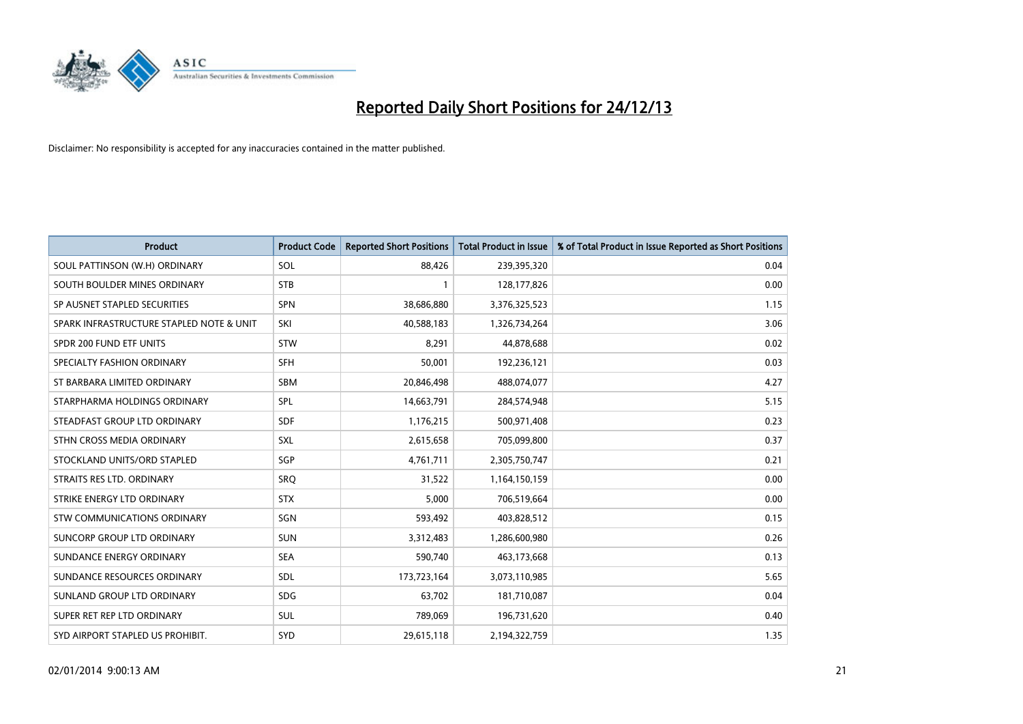

| <b>Product</b>                           | <b>Product Code</b> | <b>Reported Short Positions</b> | <b>Total Product in Issue</b> | % of Total Product in Issue Reported as Short Positions |
|------------------------------------------|---------------------|---------------------------------|-------------------------------|---------------------------------------------------------|
| SOUL PATTINSON (W.H) ORDINARY            | SOL                 | 88,426                          | 239,395,320                   | 0.04                                                    |
| SOUTH BOULDER MINES ORDINARY             | <b>STB</b>          | $\mathbf{1}$                    | 128,177,826                   | 0.00                                                    |
| SP AUSNET STAPLED SECURITIES             | SPN                 | 38,686,880                      | 3,376,325,523                 | 1.15                                                    |
| SPARK INFRASTRUCTURE STAPLED NOTE & UNIT | SKI                 | 40,588,183                      | 1,326,734,264                 | 3.06                                                    |
| SPDR 200 FUND ETF UNITS                  | <b>STW</b>          | 8,291                           | 44,878,688                    | 0.02                                                    |
| SPECIALTY FASHION ORDINARY               | <b>SFH</b>          | 50,001                          | 192,236,121                   | 0.03                                                    |
| ST BARBARA LIMITED ORDINARY              | <b>SBM</b>          | 20,846,498                      | 488,074,077                   | 4.27                                                    |
| STARPHARMA HOLDINGS ORDINARY             | <b>SPL</b>          | 14,663,791                      | 284,574,948                   | 5.15                                                    |
| STEADFAST GROUP LTD ORDINARY             | <b>SDF</b>          | 1,176,215                       | 500,971,408                   | 0.23                                                    |
| STHN CROSS MEDIA ORDINARY                | <b>SXL</b>          | 2,615,658                       | 705,099,800                   | 0.37                                                    |
| STOCKLAND UNITS/ORD STAPLED              | SGP                 | 4,761,711                       | 2,305,750,747                 | 0.21                                                    |
| STRAITS RES LTD. ORDINARY                | SRO                 | 31,522                          | 1,164,150,159                 | 0.00                                                    |
| STRIKE ENERGY LTD ORDINARY               | <b>STX</b>          | 5,000                           | 706,519,664                   | 0.00                                                    |
| STW COMMUNICATIONS ORDINARY              | SGN                 | 593,492                         | 403,828,512                   | 0.15                                                    |
| SUNCORP GROUP LTD ORDINARY               | <b>SUN</b>          | 3,312,483                       | 1,286,600,980                 | 0.26                                                    |
| SUNDANCE ENERGY ORDINARY                 | <b>SEA</b>          | 590,740                         | 463,173,668                   | 0.13                                                    |
| SUNDANCE RESOURCES ORDINARY              | SDL                 | 173,723,164                     | 3,073,110,985                 | 5.65                                                    |
| SUNLAND GROUP LTD ORDINARY               | <b>SDG</b>          | 63,702                          | 181,710,087                   | 0.04                                                    |
| SUPER RET REP LTD ORDINARY               | SUL                 | 789,069                         | 196,731,620                   | 0.40                                                    |
| SYD AIRPORT STAPLED US PROHIBIT.         | <b>SYD</b>          | 29,615,118                      | 2,194,322,759                 | 1.35                                                    |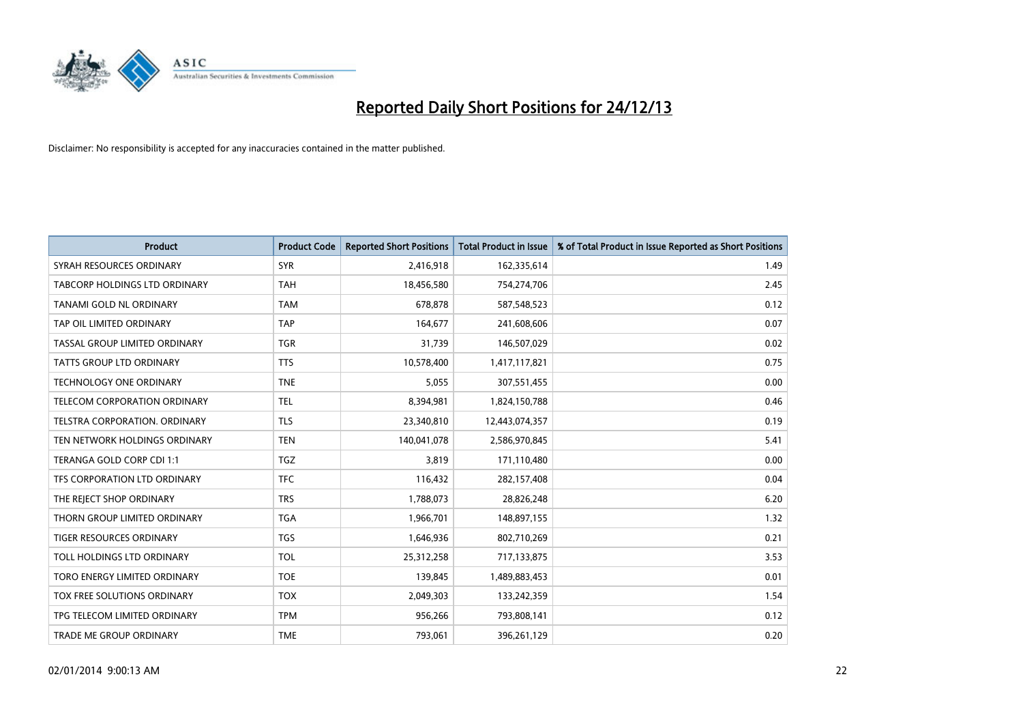

| <b>Product</b>                | <b>Product Code</b> | <b>Reported Short Positions</b> | <b>Total Product in Issue</b> | % of Total Product in Issue Reported as Short Positions |
|-------------------------------|---------------------|---------------------------------|-------------------------------|---------------------------------------------------------|
| SYRAH RESOURCES ORDINARY      | <b>SYR</b>          | 2,416,918                       | 162,335,614                   | 1.49                                                    |
| TABCORP HOLDINGS LTD ORDINARY | <b>TAH</b>          | 18,456,580                      | 754,274,706                   | 2.45                                                    |
| TANAMI GOLD NL ORDINARY       | <b>TAM</b>          | 678,878                         | 587,548,523                   | 0.12                                                    |
| TAP OIL LIMITED ORDINARY      | <b>TAP</b>          | 164,677                         | 241,608,606                   | 0.07                                                    |
| TASSAL GROUP LIMITED ORDINARY | <b>TGR</b>          | 31,739                          | 146,507,029                   | 0.02                                                    |
| TATTS GROUP LTD ORDINARY      | <b>TTS</b>          | 10,578,400                      | 1,417,117,821                 | 0.75                                                    |
| TECHNOLOGY ONE ORDINARY       | <b>TNE</b>          | 5,055                           | 307,551,455                   | 0.00                                                    |
| TELECOM CORPORATION ORDINARY  | <b>TEL</b>          | 8,394,981                       | 1,824,150,788                 | 0.46                                                    |
| TELSTRA CORPORATION, ORDINARY | <b>TLS</b>          | 23,340,810                      | 12,443,074,357                | 0.19                                                    |
| TEN NETWORK HOLDINGS ORDINARY | <b>TEN</b>          | 140,041,078                     | 2,586,970,845                 | 5.41                                                    |
| TERANGA GOLD CORP CDI 1:1     | <b>TGZ</b>          | 3,819                           | 171,110,480                   | 0.00                                                    |
| TFS CORPORATION LTD ORDINARY  | <b>TFC</b>          | 116,432                         | 282,157,408                   | 0.04                                                    |
| THE REJECT SHOP ORDINARY      | <b>TRS</b>          | 1,788,073                       | 28,826,248                    | 6.20                                                    |
| THORN GROUP LIMITED ORDINARY  | <b>TGA</b>          | 1,966,701                       | 148,897,155                   | 1.32                                                    |
| TIGER RESOURCES ORDINARY      | <b>TGS</b>          | 1,646,936                       | 802,710,269                   | 0.21                                                    |
| TOLL HOLDINGS LTD ORDINARY    | <b>TOL</b>          | 25,312,258                      | 717,133,875                   | 3.53                                                    |
| TORO ENERGY LIMITED ORDINARY  | <b>TOE</b>          | 139,845                         | 1,489,883,453                 | 0.01                                                    |
| TOX FREE SOLUTIONS ORDINARY   | <b>TOX</b>          | 2,049,303                       | 133,242,359                   | 1.54                                                    |
| TPG TELECOM LIMITED ORDINARY  | <b>TPM</b>          | 956,266                         | 793,808,141                   | 0.12                                                    |
| TRADE ME GROUP ORDINARY       | <b>TME</b>          | 793,061                         | 396,261,129                   | 0.20                                                    |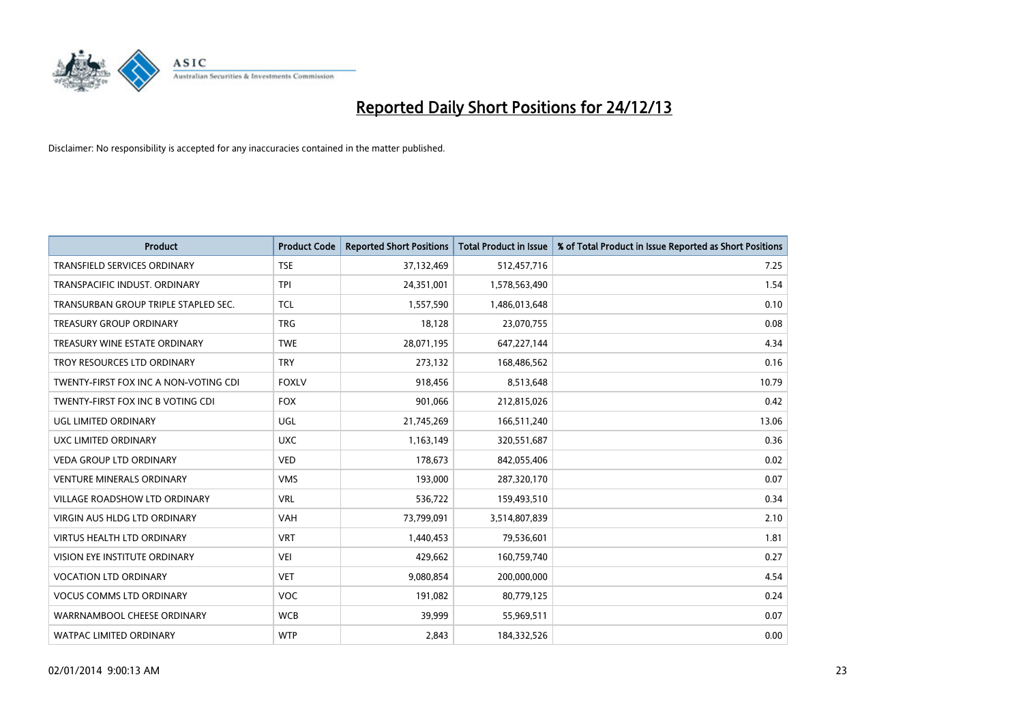

| Product                               | <b>Product Code</b> | <b>Reported Short Positions</b> | <b>Total Product in Issue</b> | % of Total Product in Issue Reported as Short Positions |
|---------------------------------------|---------------------|---------------------------------|-------------------------------|---------------------------------------------------------|
| <b>TRANSFIELD SERVICES ORDINARY</b>   | <b>TSE</b>          | 37,132,469                      | 512,457,716                   | 7.25                                                    |
| TRANSPACIFIC INDUST. ORDINARY         | <b>TPI</b>          | 24,351,001                      | 1,578,563,490                 | 1.54                                                    |
| TRANSURBAN GROUP TRIPLE STAPLED SEC.  | <b>TCL</b>          | 1,557,590                       | 1,486,013,648                 | 0.10                                                    |
| TREASURY GROUP ORDINARY               | <b>TRG</b>          | 18,128                          | 23,070,755                    | 0.08                                                    |
| TREASURY WINE ESTATE ORDINARY         | <b>TWE</b>          | 28,071,195                      | 647,227,144                   | 4.34                                                    |
| TROY RESOURCES LTD ORDINARY           | <b>TRY</b>          | 273,132                         | 168,486,562                   | 0.16                                                    |
| TWENTY-FIRST FOX INC A NON-VOTING CDI | <b>FOXLV</b>        | 918,456                         | 8,513,648                     | 10.79                                                   |
| TWENTY-FIRST FOX INC B VOTING CDI     | <b>FOX</b>          | 901,066                         | 212,815,026                   | 0.42                                                    |
| UGL LIMITED ORDINARY                  | UGL                 | 21,745,269                      | 166,511,240                   | 13.06                                                   |
| UXC LIMITED ORDINARY                  | <b>UXC</b>          | 1,163,149                       | 320,551,687                   | 0.36                                                    |
| VEDA GROUP LTD ORDINARY               | <b>VED</b>          | 178,673                         | 842,055,406                   | 0.02                                                    |
| <b>VENTURE MINERALS ORDINARY</b>      | <b>VMS</b>          | 193,000                         | 287,320,170                   | 0.07                                                    |
| VILLAGE ROADSHOW LTD ORDINARY         | <b>VRL</b>          | 536,722                         | 159,493,510                   | 0.34                                                    |
| <b>VIRGIN AUS HLDG LTD ORDINARY</b>   | VAH                 | 73,799,091                      | 3,514,807,839                 | 2.10                                                    |
| <b>VIRTUS HEALTH LTD ORDINARY</b>     | <b>VRT</b>          | 1,440,453                       | 79,536,601                    | 1.81                                                    |
| VISION EYE INSTITUTE ORDINARY         | <b>VEI</b>          | 429,662                         | 160,759,740                   | 0.27                                                    |
| <b>VOCATION LTD ORDINARY</b>          | <b>VET</b>          | 9,080,854                       | 200,000,000                   | 4.54                                                    |
| <b>VOCUS COMMS LTD ORDINARY</b>       | <b>VOC</b>          | 191,082                         | 80,779,125                    | 0.24                                                    |
| WARRNAMBOOL CHEESE ORDINARY           | <b>WCB</b>          | 39,999                          | 55,969,511                    | 0.07                                                    |
| WATPAC LIMITED ORDINARY               | <b>WTP</b>          | 2,843                           | 184,332,526                   | 0.00                                                    |